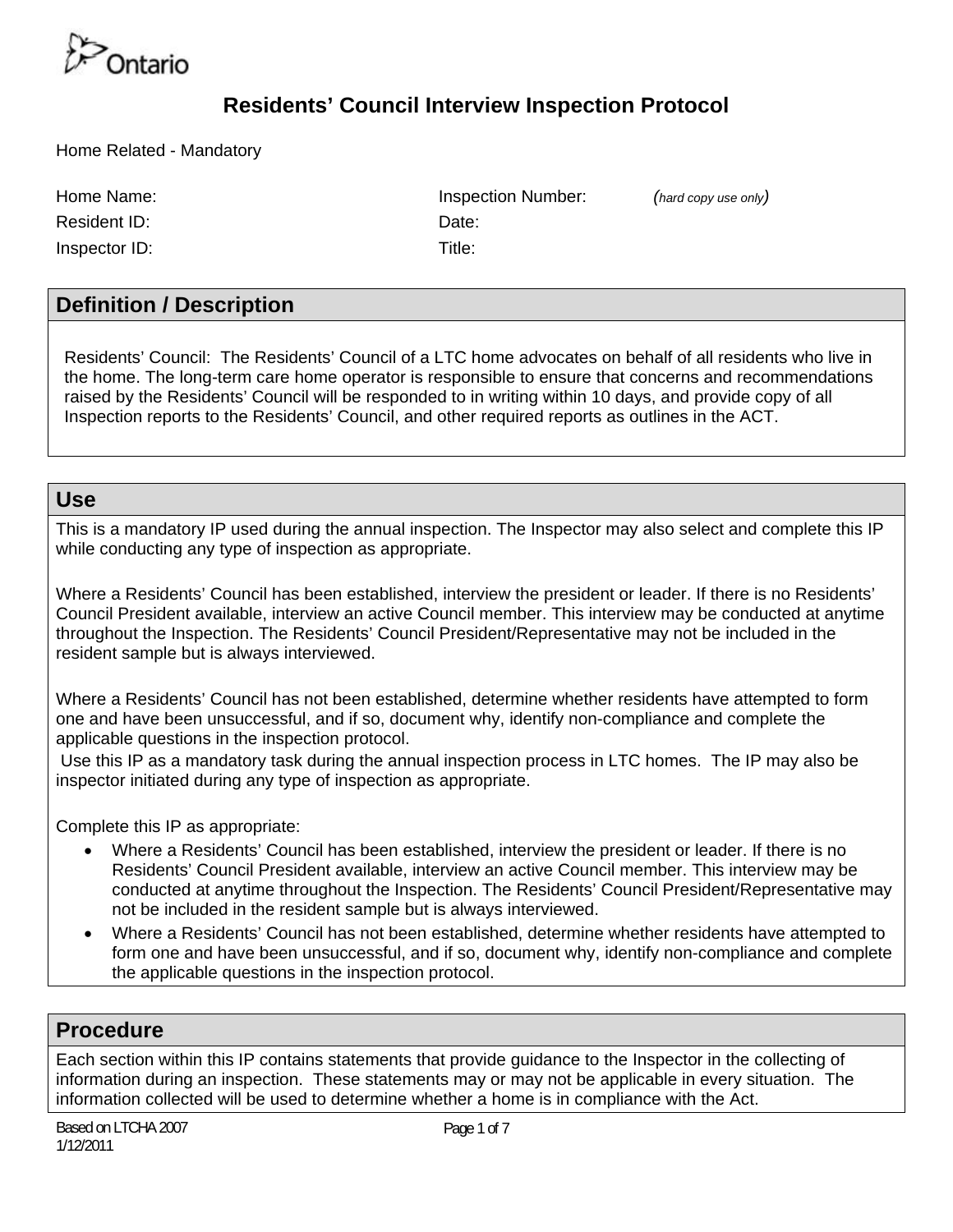

Home Related - Mandatory

Resident ID: Note: Note: Note: Note: Note: Note: Note: Note: Note: Note: Note: Note: Note: Note: Note: Note: Note: Note: Note: Note: Note: Note: Note: Note: Note: Note: Note: Note: Note: Note: Note: Note: Note: Note: Note:

Inspector ID: Title:

Home Name: Inspection Number: *(hard copy use only)*

#### **Definition / Description**

Residents' Council: The Residents' Council of a LTC home advocates on behalf of all residents who live in the home. The long-term care home operator is responsible to ensure that concerns and recommendations raised by the Residents' Council will be responded to in writing within 10 days, and provide copy of all Inspection reports to the Residents' Council, and other required reports as outlines in the ACT.

#### **Use**

This is a mandatory IP used during the annual inspection. The Inspector may also select and complete this IP while conducting any type of inspection as appropriate.

Where a Residents' Council has been established, interview the president or leader. If there is no Residents' Council President available, interview an active Council member. This interview may be conducted at anytime throughout the Inspection. The Residents' Council President/Representative may not be included in the resident sample but is always interviewed.

Where a Residents' Council has not been established, determine whether residents have attempted to form one and have been unsuccessful, and if so, document why, identify non-compliance and complete the applicable questions in the inspection protocol.

 Use this IP as a mandatory task during the annual inspection process in LTC homes. The IP may also be inspector initiated during any type of inspection as appropriate.

Complete this IP as appropriate:

- Where a Residents' Council has been established, interview the president or leader. If there is no Residents' Council President available, interview an active Council member. This interview may be conducted at anytime throughout the Inspection. The Residents' Council President/Representative may not be included in the resident sample but is always interviewed.
- Where a Residents' Council has not been established, determine whether residents have attempted to form one and have been unsuccessful, and if so, document why, identify non-compliance and complete the applicable questions in the inspection protocol.

#### **Procedure**

Each section within this IP contains statements that provide guidance to the Inspector in the collecting of information during an inspection. These statements may or may not be applicable in every situation. The information collected will be used to determine whether a home is in compliance with the Act.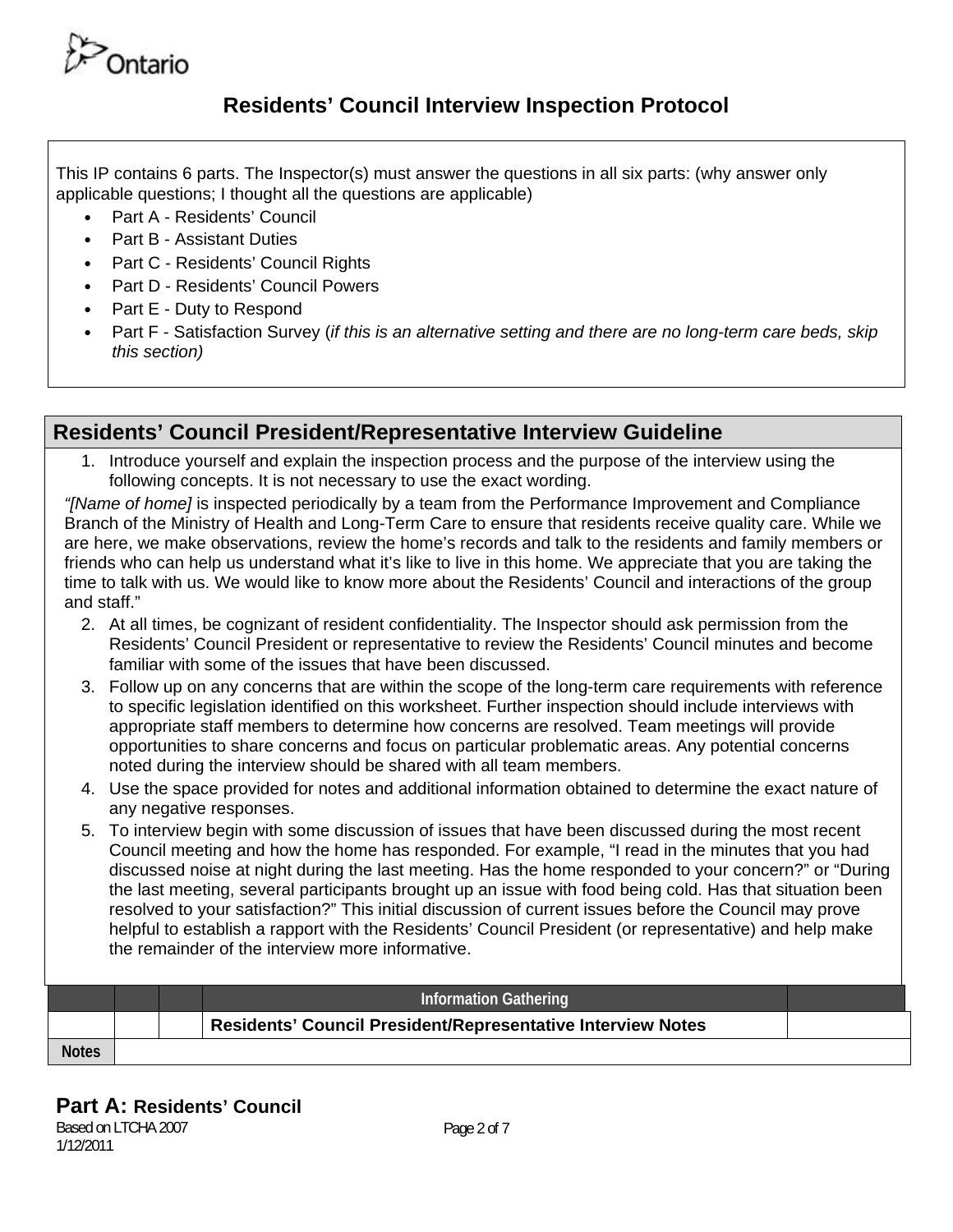

This IP contains 6 parts. The Inspector(s) must answer the questions in all six parts: (why answer only applicable questions; I thought all the questions are applicable)

- Part A Residents' Council
- Part B Assistant Duties
- Part C Residents' Council Rights
- Part D Residents' Council Powers
- Part E Duty to Respond
- Part F Satisfaction Survey (*if this is an alternative setting and there are no long-term care beds, skip this section)*

#### **Residents' Council President/Representative Interview Guideline**

1. Introduce yourself and explain the inspection process and the purpose of the interview using the following concepts. It is not necessary to use the exact wording.

*"[Name of home]* is inspected periodically by a team from the Performance Improvement and Compliance Branch of the Ministry of Health and Long-Term Care to ensure that residents receive quality care. While we are here, we make observations, review the home's records and talk to the residents and family members or friends who can help us understand what it's like to live in this home. We appreciate that you are taking the time to talk with us. We would like to know more about the Residents' Council and interactions of the group and staff."

- 2. At all times, be cognizant of resident confidentiality. The Inspector should ask permission from the Residents' Council President or representative to review the Residents' Council minutes and become familiar with some of the issues that have been discussed.
- 3. Follow up on any concerns that are within the scope of the long-term care requirements with reference to specific legislation identified on this worksheet. Further inspection should include interviews with appropriate staff members to determine how concerns are resolved. Team meetings will provide opportunities to share concerns and focus on particular problematic areas. Any potential concerns noted during the interview should be shared with all team members.
- 4. Use the space provided for notes and additional information obtained to determine the exact nature of any negative responses.
- 5. To interview begin with some discussion of issues that have been discussed during the most recent Council meeting and how the home has responded. For example, "I read in the minutes that you had discussed noise at night during the last meeting. Has the home responded to your concern?" or "During the last meeting, several participants brought up an issue with food being cold. Has that situation been resolved to your satisfaction?" This initial discussion of current issues before the Council may prove helpful to establish a rapport with the Residents' Council President (or representative) and help make the remainder of the interview more informative.

# **Information Gathering Residents' Council President/Representative Interview Notes Notes**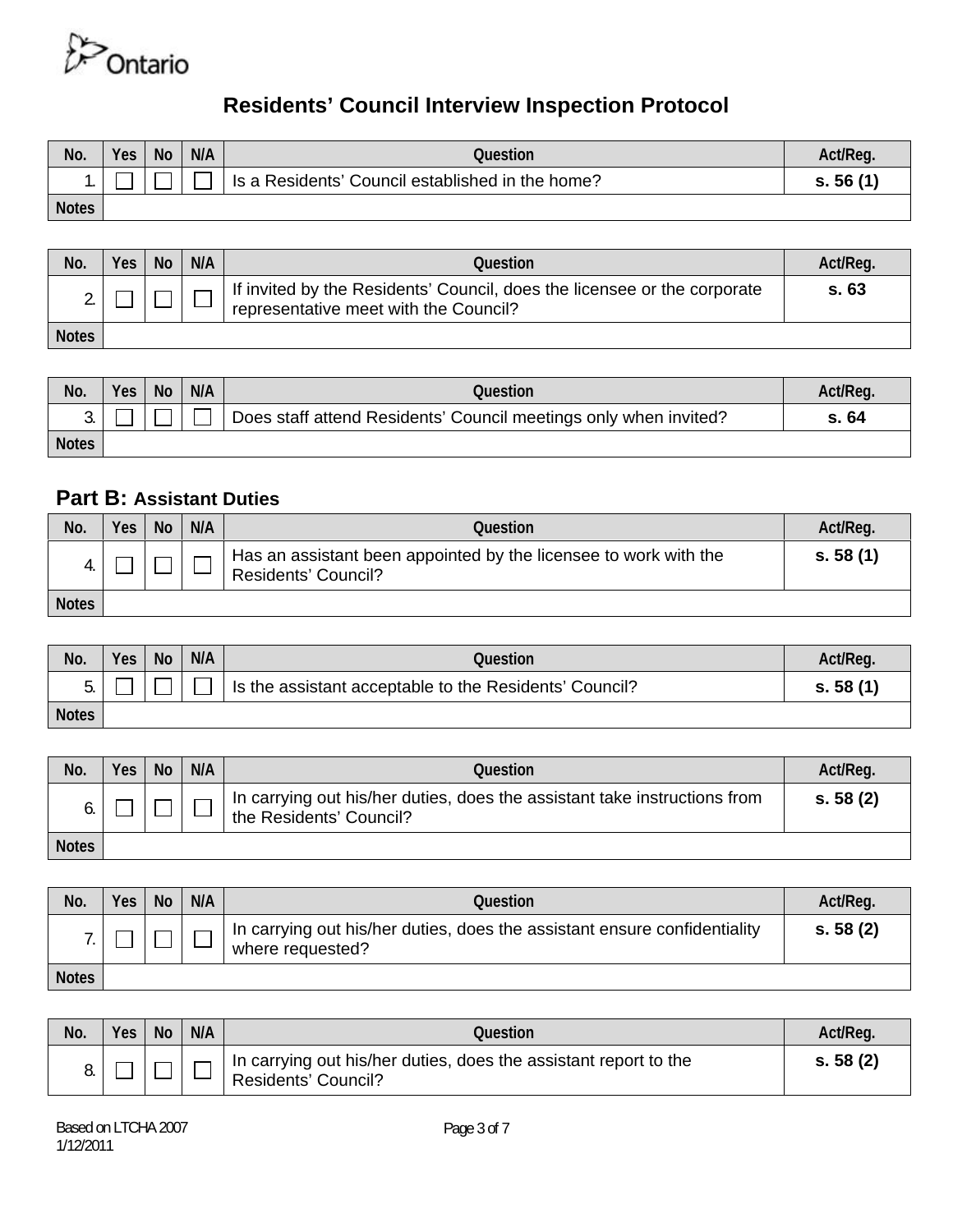

| No.          | <b>Yes</b> | <b>No</b> | N/A | Question                                         | Act/Reg. |
|--------------|------------|-----------|-----|--------------------------------------------------|----------|
|              |            |           |     | Is a Residents' Council established in the home? | s.56(1)  |
| <b>Notes</b> |            |           |     |                                                  |          |

| No.          | <b>Yes</b> | <b>No</b> | N/A | Question                                                                                                          | Act/Req. |
|--------------|------------|-----------|-----|-------------------------------------------------------------------------------------------------------------------|----------|
|              |            |           |     | If invited by the Residents' Council, does the licensee or the corporate<br>representative meet with the Council? | S.63     |
| <b>Notes</b> |            |           |     |                                                                                                                   |          |

| No.          | <b>Yes</b> | <b>No</b> | N/A | Question                                                         | Act/Req. |
|--------------|------------|-----------|-----|------------------------------------------------------------------|----------|
| ັ            |            |           |     | Does staff attend Residents' Council meetings only when invited? | s. 64    |
| <b>Notes</b> |            |           |     |                                                                  |          |

### **Part B: Assistant Duties**

| No.          | Yes, | <b>No</b> | N/A | Question                                                                                | Act/Req. |
|--------------|------|-----------|-----|-----------------------------------------------------------------------------------------|----------|
|              |      |           |     | Has an assistant been appointed by the licensee to work with the<br>Residents' Council? | s.58(1)  |
| <b>Notes</b> |      |           |     |                                                                                         |          |

| No.          | Yes | <b>No</b> | N/A | Question                                               | Act/Req. |
|--------------|-----|-----------|-----|--------------------------------------------------------|----------|
| J.           |     |           |     | Is the assistant acceptable to the Residents' Council? | s.58(1)  |
| <b>Notes</b> |     |           |     |                                                        |          |

| No.          | Yes | <b>No</b> | N/A | Question                                                                                             | Act/Req. |
|--------------|-----|-----------|-----|------------------------------------------------------------------------------------------------------|----------|
|              |     |           |     | In carrying out his/her duties, does the assistant take instructions from<br>the Residents' Council? | s.58(2)  |
| <b>Notes</b> |     |           |     |                                                                                                      |          |

| No.          | Yes | <b>No</b> | N/A | Question                                                                                      | Act/Reg. |
|--------------|-----|-----------|-----|-----------------------------------------------------------------------------------------------|----------|
|              |     |           |     | In carrying out his/her duties, does the assistant ensure confidentiality<br>where requested? | s. 58(2) |
| <b>Notes</b> |     |           |     |                                                                                               |          |

| No. | <b>Yes</b> | <b>No</b> | N/A | Question                                                                                       | Act/Reg. |
|-----|------------|-----------|-----|------------------------------------------------------------------------------------------------|----------|
|     |            |           |     | In carrying out his/her duties, does the assistant report to the<br><b>Residents' Council?</b> | s. 58(2) |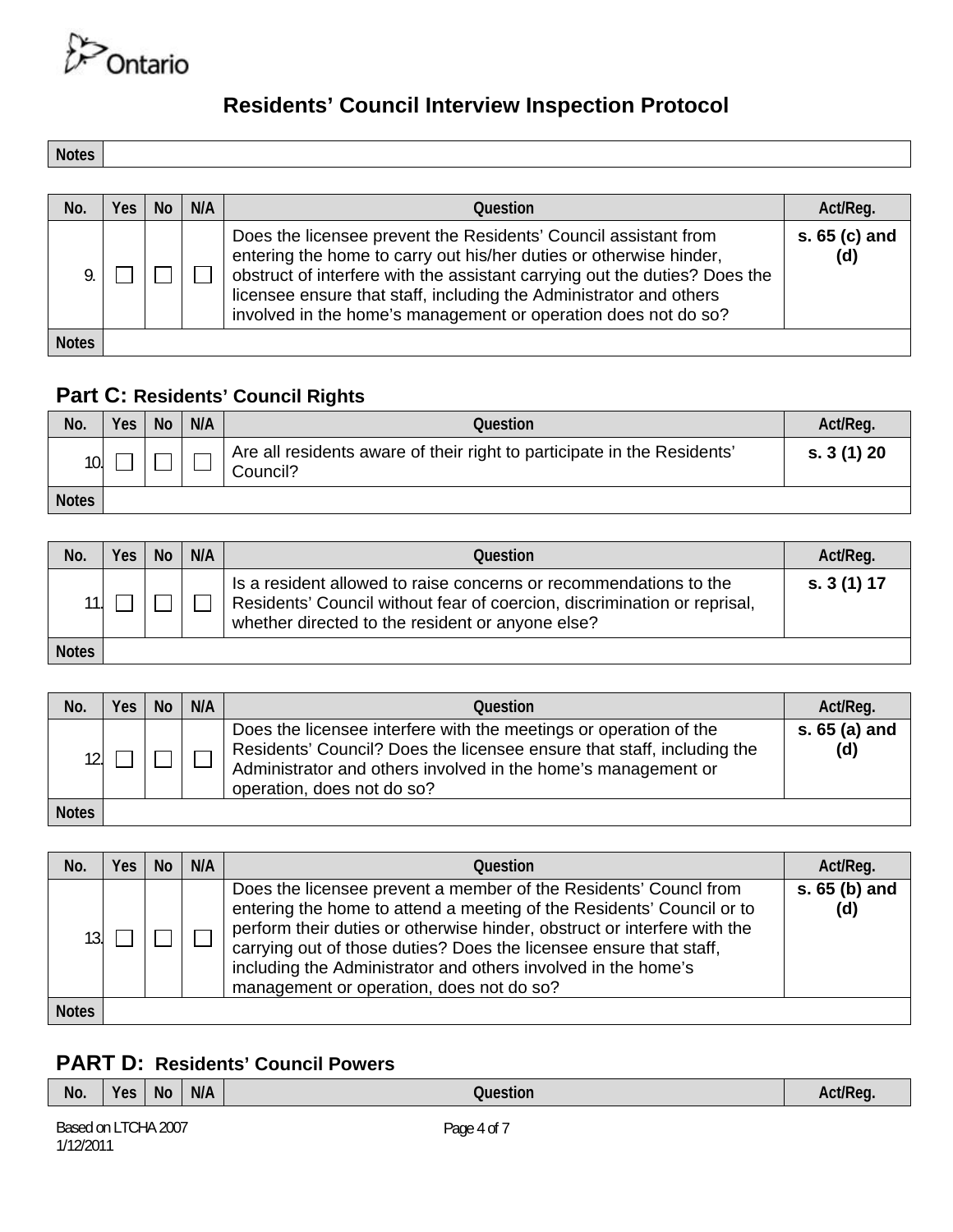

**Notes** 

| No.          | Yes | No. | N/A | Question                                                                                                                                                                                                                                                                                                                                                    | Act/Reg.             |
|--------------|-----|-----|-----|-------------------------------------------------------------------------------------------------------------------------------------------------------------------------------------------------------------------------------------------------------------------------------------------------------------------------------------------------------------|----------------------|
|              |     |     |     | Does the licensee prevent the Residents' Council assistant from<br>entering the home to carry out his/her duties or otherwise hinder,<br>obstruct of interfere with the assistant carrying out the duties? Does the<br>licensee ensure that staff, including the Administrator and others<br>involved in the home's management or operation does not do so? | s. 65 (c) and<br>(d) |
| <b>Notes</b> |     |     |     |                                                                                                                                                                                                                                                                                                                                                             |                      |

## **Part C: Residents' Council Rights**

| No.          | Yes | <b>No</b> | N/A | Question                                                                            | Act/Req.   |
|--------------|-----|-----------|-----|-------------------------------------------------------------------------------------|------------|
| 10.          |     |           |     | Are all residents aware of their right to participate in the Residents'<br>Council? | s. 3(1) 20 |
| <b>Notes</b> |     |           |     |                                                                                     |            |

| No.          | Yes | <b>No</b> | N/A | Question                                                                                                                                                                                          | Act/Req.    |
|--------------|-----|-----------|-----|---------------------------------------------------------------------------------------------------------------------------------------------------------------------------------------------------|-------------|
|              |     |           |     | Is a resident allowed to raise concerns or recommendations to the<br>Residents' Council without fear of coercion, discrimination or reprisal,<br>whether directed to the resident or anyone else? | s. 3 (1) 17 |
| <b>Notes</b> |     |           |     |                                                                                                                                                                                                   |             |

| No.          | <b>Yes</b> | <b>No</b> | N/A | Question                                                                                                                                                                                                                                   | Act/Reg.             |
|--------------|------------|-----------|-----|--------------------------------------------------------------------------------------------------------------------------------------------------------------------------------------------------------------------------------------------|----------------------|
| 12.          |            |           |     | Does the licensee interfere with the meetings or operation of the<br>Residents' Council? Does the licensee ensure that staff, including the<br>Administrator and others involved in the home's management or<br>operation, does not do so? | s. 65 (a) and<br>(d) |
| <b>Notes</b> |            |           |     |                                                                                                                                                                                                                                            |                      |

| No.          | Yes | No. | N/A | <b>Ouestion</b>                                                                                                                                                                                                                                                                                                                                                                                          | Act/Reg.             |
|--------------|-----|-----|-----|----------------------------------------------------------------------------------------------------------------------------------------------------------------------------------------------------------------------------------------------------------------------------------------------------------------------------------------------------------------------------------------------------------|----------------------|
| 13.          |     |     |     | Does the licensee prevent a member of the Residents' Councl from<br>entering the home to attend a meeting of the Residents' Council or to<br>perform their duties or otherwise hinder, obstruct or interfere with the<br>carrying out of those duties? Does the licensee ensure that staff,<br>including the Administrator and others involved in the home's<br>management or operation, does not do so? | s. 65 (b) and<br>(d) |
| <b>Notes</b> |     |     |     |                                                                                                                                                                                                                                                                                                                                                                                                          |                      |

## **PART D: Residents' Council Powers**

| No.    | <b>Yes</b> | <b>No</b> | N/A | 'SUON.                        |  |
|--------|------------|-----------|-----|-------------------------------|--|
| $\sim$ |            | . _ _ _   |     | .<br>$\overline{\phantom{0}}$ |  |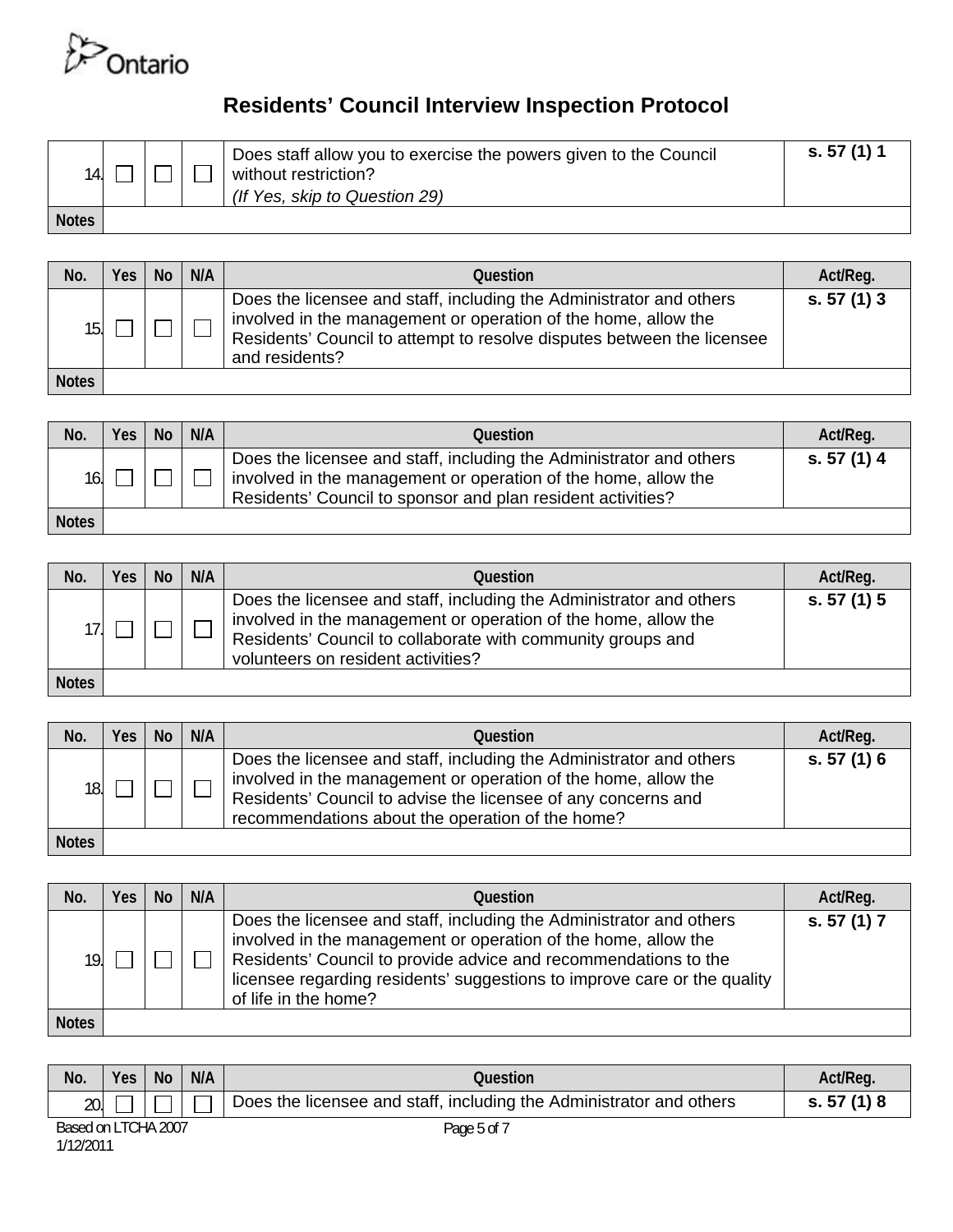

| 14.          |  | Does staff allow you to exercise the powers given to the Council<br>without restriction?<br>(If Yes, skip to Question 29) | s. 57 (1) 1 |
|--------------|--|---------------------------------------------------------------------------------------------------------------------------|-------------|
| <b>Notes</b> |  |                                                                                                                           |             |

| No.          | Yes | <b>No</b> | N/A | Question                                                                                                                                                                                                                          | Act/Reg.  |
|--------------|-----|-----------|-----|-----------------------------------------------------------------------------------------------------------------------------------------------------------------------------------------------------------------------------------|-----------|
| 15.          |     |           |     | Does the licensee and staff, including the Administrator and others<br>involved in the management or operation of the home, allow the<br>Residents' Council to attempt to resolve disputes between the licensee<br>and residents? | s. 57(1)3 |
| <b>Notes</b> |     |           |     |                                                                                                                                                                                                                                   |           |

| No.          | Yes | <b>No</b> | N/A | Question                                                                                                                                                                                             | Act/Reg.    |
|--------------|-----|-----------|-----|------------------------------------------------------------------------------------------------------------------------------------------------------------------------------------------------------|-------------|
| 16.          |     |           |     | Does the licensee and staff, including the Administrator and others<br>involved in the management or operation of the home, allow the<br>Residents' Council to sponsor and plan resident activities? | s. 57 (1) 4 |
| <b>Notes</b> |     |           |     |                                                                                                                                                                                                      |             |

| No.          | Yes. | <b>No</b> | N/A | Question                                                                                                                                                                                                                                   | Act/Reg.    |
|--------------|------|-----------|-----|--------------------------------------------------------------------------------------------------------------------------------------------------------------------------------------------------------------------------------------------|-------------|
| 17.          |      |           |     | Does the licensee and staff, including the Administrator and others<br>involved in the management or operation of the home, allow the<br>Residents' Council to collaborate with community groups and<br>volunteers on resident activities? | s. 57 (1) 5 |
| <b>Notes</b> |      |           |     |                                                                                                                                                                                                                                            |             |

| No.          | <b>Yes</b> | <b>No</b> | N/A | Question                                                                                                                                                                                                                                                   | Act/Reg.  |
|--------------|------------|-----------|-----|------------------------------------------------------------------------------------------------------------------------------------------------------------------------------------------------------------------------------------------------------------|-----------|
| 18.          |            |           |     | Does the licensee and staff, including the Administrator and others<br>involved in the management or operation of the home, allow the<br>Residents' Council to advise the licensee of any concerns and<br>recommendations about the operation of the home? | s. 57(1)6 |
| <b>Notes</b> |            |           |     |                                                                                                                                                                                                                                                            |           |

| No.          | <b>Yes</b> | <b>No</b> | N/A | <b>Ouestion</b>                                                                                                                                                                                                                                                                                              | Act/Reg.    |
|--------------|------------|-----------|-----|--------------------------------------------------------------------------------------------------------------------------------------------------------------------------------------------------------------------------------------------------------------------------------------------------------------|-------------|
| 19.          |            |           |     | Does the licensee and staff, including the Administrator and others<br>involved in the management or operation of the home, allow the<br>Residents' Council to provide advice and recommendations to the<br>licensee regarding residents' suggestions to improve care or the quality<br>of life in the home? | s. 57 (1) 7 |
| <b>Notes</b> |            |           |     |                                                                                                                                                                                                                                                                                                              |             |

| No. | Yes                 | <b>No</b> | N/A | Question                                                            | Act/Req.    |
|-----|---------------------|-----------|-----|---------------------------------------------------------------------|-------------|
| 20. |                     |           |     | Does the licensee and staff, including the Administrator and others | s. 57 (1) 8 |
| .   | Based on LTCHA 2007 |           |     | Page 5 of 7                                                         |             |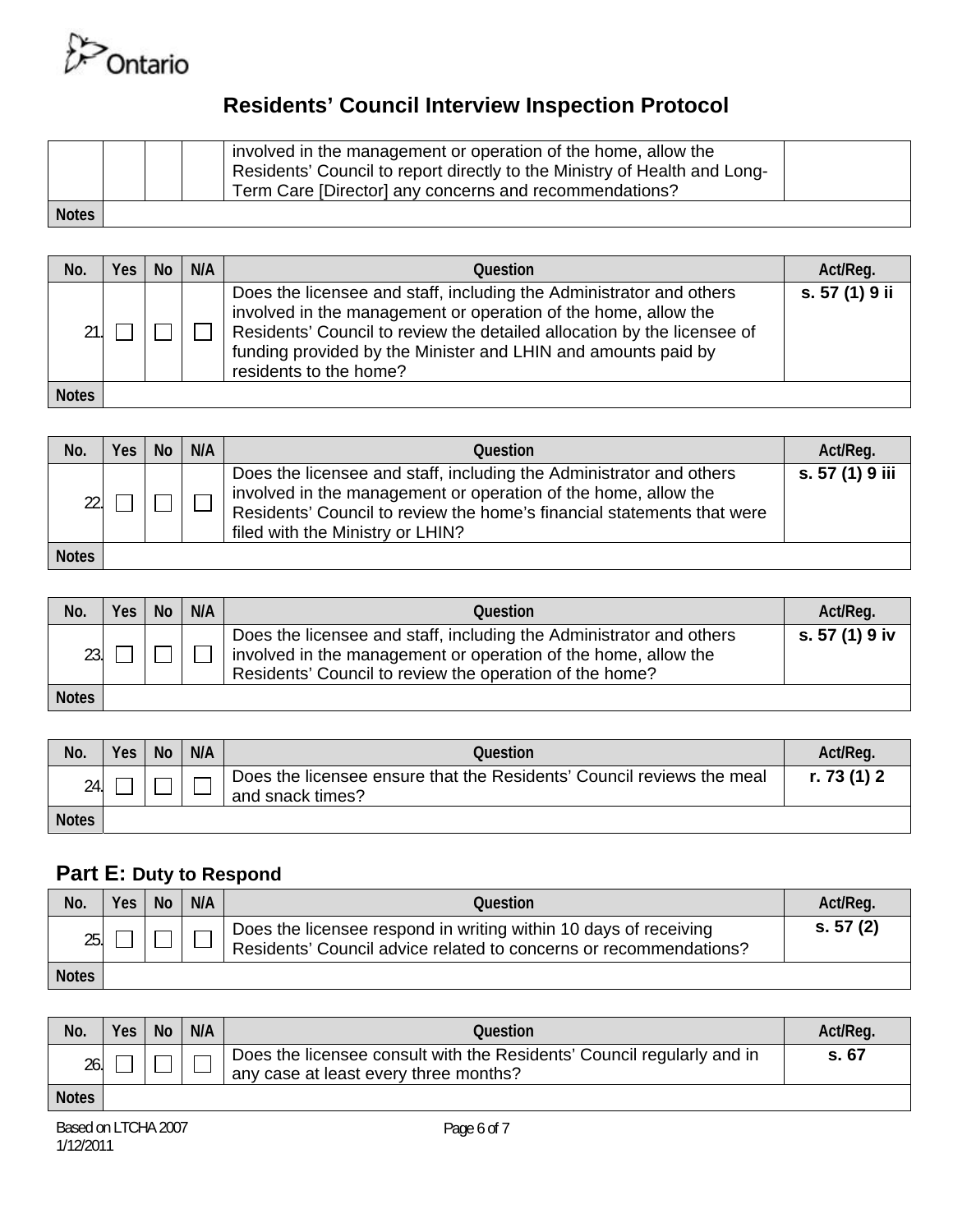

|              |  | involved in the management or operation of the home, allow the<br>Residents' Council to report directly to the Ministry of Health and Long-<br>Term Care [Director] any concerns and recommendations? |  |
|--------------|--|-------------------------------------------------------------------------------------------------------------------------------------------------------------------------------------------------------|--|
| <b>Notes</b> |  |                                                                                                                                                                                                       |  |

| No.          | Yes | No | N/A | <b>Question</b>                                                                                                                                                                                                                                                                                             | Act/Reg.       |
|--------------|-----|----|-----|-------------------------------------------------------------------------------------------------------------------------------------------------------------------------------------------------------------------------------------------------------------------------------------------------------------|----------------|
| 21.1         |     |    |     | Does the licensee and staff, including the Administrator and others<br>involved in the management or operation of the home, allow the<br>Residents' Council to review the detailed allocation by the licensee of<br>funding provided by the Minister and LHIN and amounts paid by<br>residents to the home? | s. 57 (1) 9 ii |
| <b>Notes</b> |     |    |     |                                                                                                                                                                                                                                                                                                             |                |

| No.          | Yes | <b>No</b> | N/A | Question                                                                                                                                                                                                                                            | Act/Req.        |
|--------------|-----|-----------|-----|-----------------------------------------------------------------------------------------------------------------------------------------------------------------------------------------------------------------------------------------------------|-----------------|
| 22.          |     |           |     | Does the licensee and staff, including the Administrator and others<br>involved in the management or operation of the home, allow the<br>Residents' Council to review the home's financial statements that were<br>filed with the Ministry or LHIN? | s. 57 (1) 9 iii |
| <b>Notes</b> |     |           |     |                                                                                                                                                                                                                                                     |                 |

| No.          | Yes | <b>No</b> | N/A | Question                                                                                                                                                                                         | Act/Req.       |
|--------------|-----|-----------|-----|--------------------------------------------------------------------------------------------------------------------------------------------------------------------------------------------------|----------------|
| 23.          |     |           |     | Does the licensee and staff, including the Administrator and others<br>involved in the management or operation of the home, allow the<br>Residents' Council to review the operation of the home? | s. 57 (1) 9 iv |
| <b>Notes</b> |     |           |     |                                                                                                                                                                                                  |                |

| No.          | <b>Yes</b> | <b>No</b> | N/A | Question                                                                                  | Act/Req.    |
|--------------|------------|-----------|-----|-------------------------------------------------------------------------------------------|-------------|
| 24.          |            |           |     | Does the licensee ensure that the Residents' Council reviews the meal<br>and snack times? | r. 73 (1) 2 |
| <b>Notes</b> |            |           |     |                                                                                           |             |

#### **Part E: Duty to Respond**

| No.          | Yes | <b>No</b> | N/A | Question                                                                                                                              | Act/Reg. |
|--------------|-----|-----------|-----|---------------------------------------------------------------------------------------------------------------------------------------|----------|
| 25.          |     |           |     | Does the licensee respond in writing within 10 days of receiving<br>Residents' Council advice related to concerns or recommendations? | s. 57(2) |
| <b>Notes</b> |     |           |     |                                                                                                                                       |          |

| No.          | Yes | <b>No</b> | N/A | Question                                                                                                        | Act/Reg. |
|--------------|-----|-----------|-----|-----------------------------------------------------------------------------------------------------------------|----------|
| 26.          |     |           |     | Does the licensee consult with the Residents' Council regularly and in<br>any case at least every three months? | s. 67    |
| <b>Notes</b> |     |           |     |                                                                                                                 |          |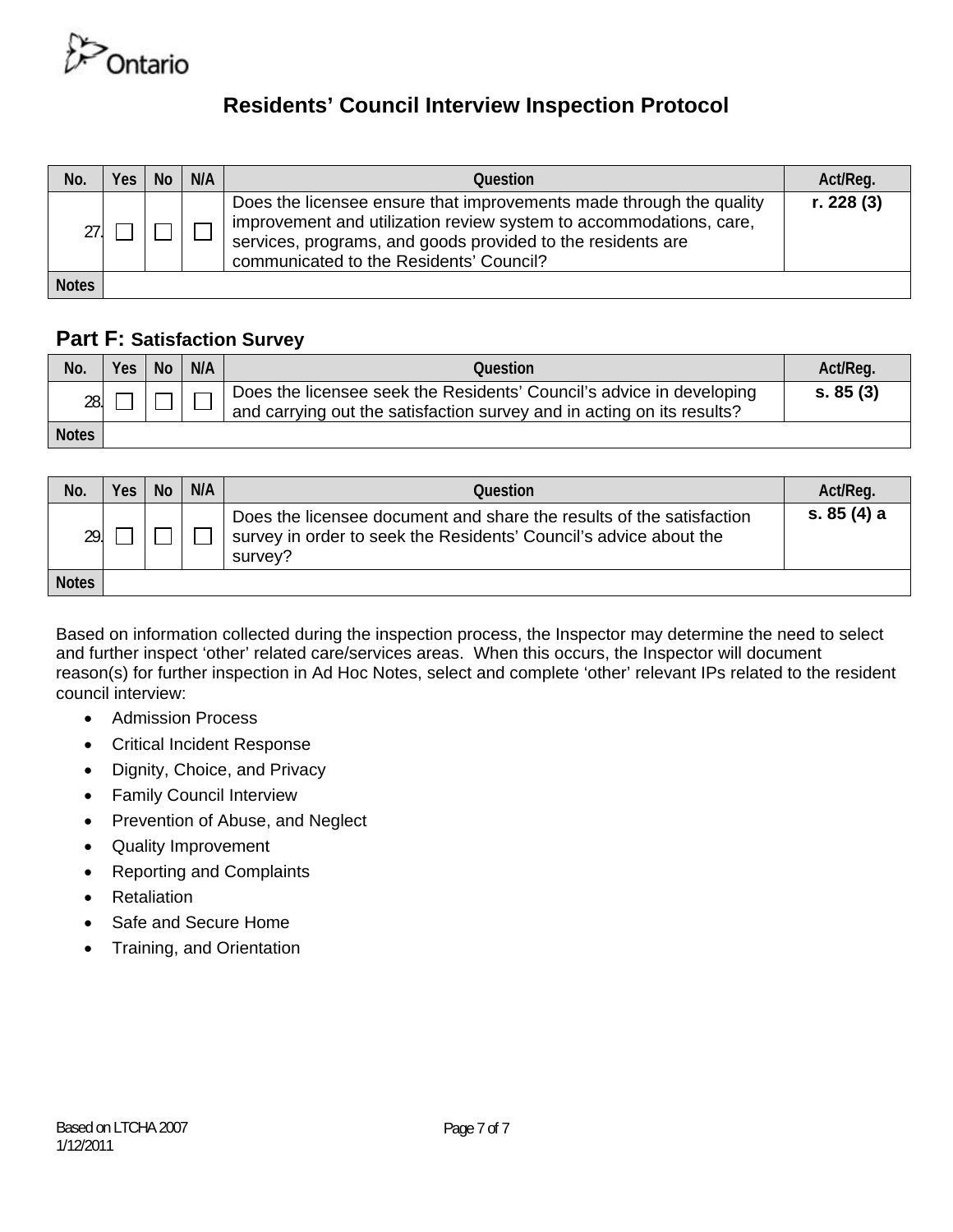

| No.          | <b>Yes</b> | <b>No</b> | N/A | Question                                                                                                                                                                                                                                            | Act/Reg.   |
|--------------|------------|-----------|-----|-----------------------------------------------------------------------------------------------------------------------------------------------------------------------------------------------------------------------------------------------------|------------|
|              |            |           |     | Does the licensee ensure that improvements made through the quality<br>improvement and utilization review system to accommodations, care,<br>services, programs, and goods provided to the residents are<br>communicated to the Residents' Council? | r. 228 (3) |
| <b>Notes</b> |            |           |     |                                                                                                                                                                                                                                                     |            |

### **Part F: Satisfaction Survey**

| No.          | Yes | <b>No</b> | N/A | Question                                                                                                                                       | Act/Reg. |
|--------------|-----|-----------|-----|------------------------------------------------------------------------------------------------------------------------------------------------|----------|
| 28.          |     |           |     | Does the licensee seek the Residents' Council's advice in developing<br>and carrying out the satisfaction survey and in acting on its results? | s. 85(3) |
| <b>Notes</b> |     |           |     |                                                                                                                                                |          |

| No.          | <b>Yes</b> | <b>No</b> | N/A | Question                                                                                                                                             | Act/Reg.    |
|--------------|------------|-----------|-----|------------------------------------------------------------------------------------------------------------------------------------------------------|-------------|
| 29.          |            |           |     | Does the licensee document and share the results of the satisfaction<br>survey in order to seek the Residents' Council's advice about the<br>survey? | s. 85 (4) a |
| <b>Notes</b> |            |           |     |                                                                                                                                                      |             |

Based on information collected during the inspection process, the Inspector may determine the need to select and further inspect 'other' related care/services areas. When this occurs, the Inspector will document reason(s) for further inspection in Ad Hoc Notes, select and complete 'other' relevant IPs related to the resident council interview:

- Admission Process
- Critical Incident Response
- Dignity, Choice, and Privacy
- Family Council Interview
- Prevention of Abuse, and Neglect
- Quality Improvement
- Reporting and Complaints
- Retaliation
- Safe and Secure Home
- Training, and Orientation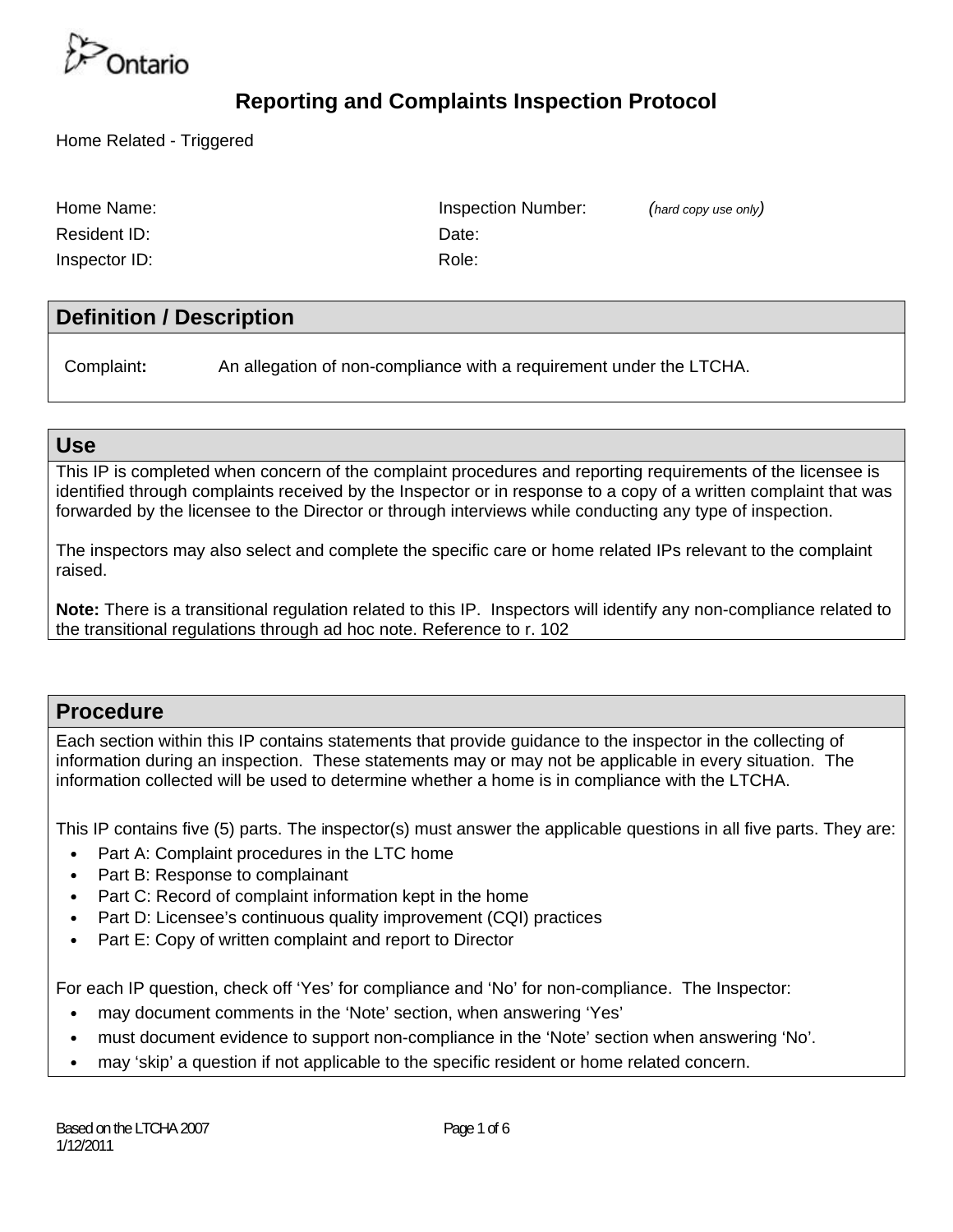

Home Related - Triggered

| Home Name:    | Insper |
|---------------|--------|
| Resident ID:  | Date:  |
| Inspector ID: | Role:  |

Inspection Number: *(hard copy use only)* 

### **Definition / Description**

Complaint**:** An allegation of non-compliance with a requirement under the LTCHA.

#### **Use**

This IP is completed when concern of the complaint procedures and reporting requirements of the licensee is identified through complaints received by the Inspector or in response to a copy of a written complaint that was forwarded by the licensee to the Director or through interviews while conducting any type of inspection.

The inspectors may also select and complete the specific care or home related IPs relevant to the complaint raised.

**Note:** There is a transitional regulation related to this IP. Inspectors will identify any non-compliance related to the transitional regulations through ad hoc note. Reference to r. 102

#### **Procedure**

Each section within this IP contains statements that provide guidance to the inspector in the collecting of information during an inspection. These statements may or may not be applicable in every situation. The information collected will be used to determine whether a home is in compliance with the LTCHA.

This IP contains five (5) parts. The inspector(s) must answer the applicable questions in all five parts. They are:

- Part A: Complaint procedures in the LTC home
- Part B: Response to complainant
- Part C: Record of complaint information kept in the home
- Part D: Licensee's continuous quality improvement (CQI) practices
- Part E: Copy of written complaint and report to Director

For each IP question, check off 'Yes' for compliance and 'No' for non-compliance. The Inspector:

- may document comments in the 'Note' section, when answering 'Yes'
- must document evidence to support non-compliance in the 'Note' section when answering 'No'.
- may 'skip' a question if not applicable to the specific resident or home related concern.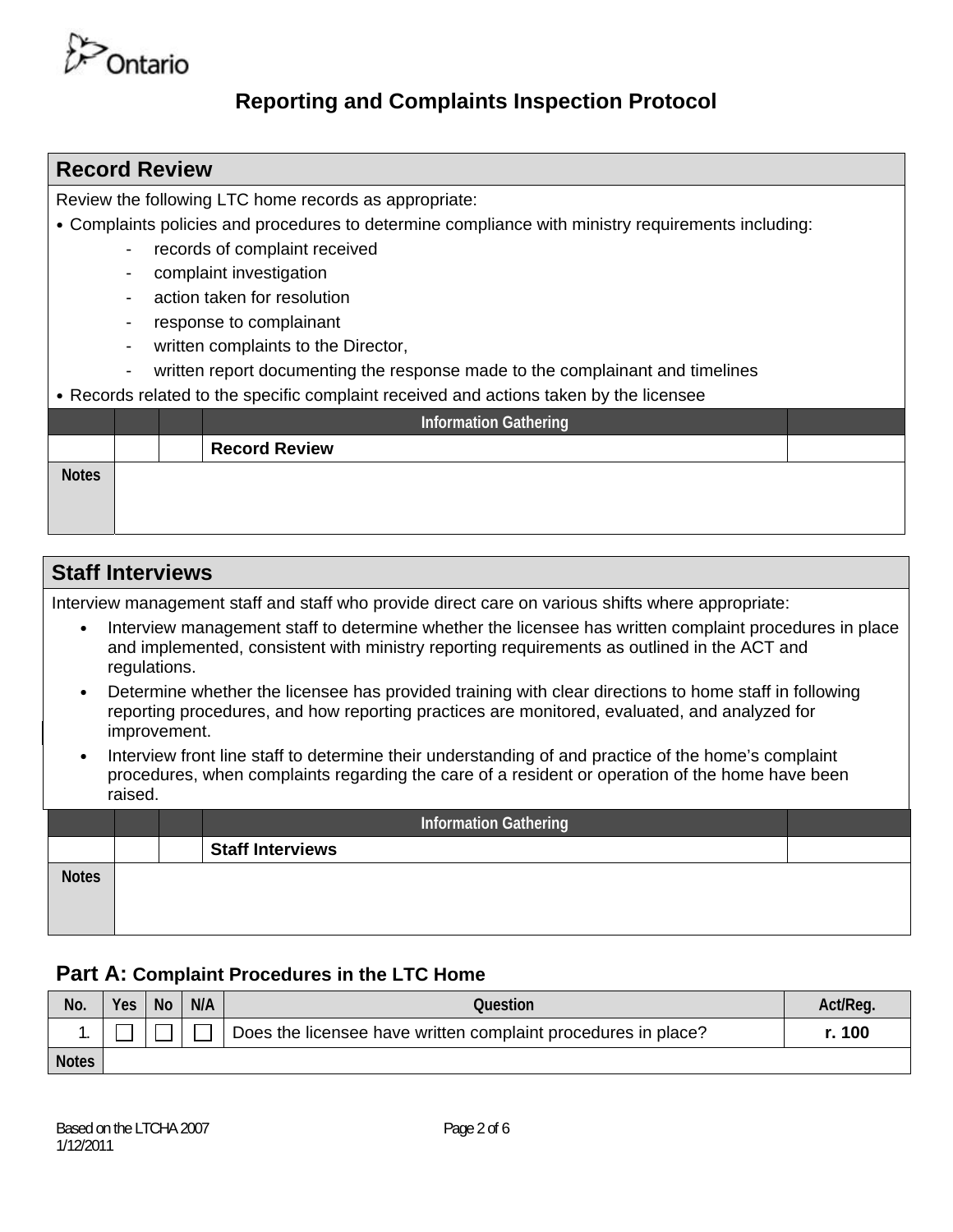

| <b>Record Review</b>                                                                                      |
|-----------------------------------------------------------------------------------------------------------|
| Review the following LTC home records as appropriate:                                                     |
| • Complaints policies and procedures to determine compliance with ministry requirements including:        |
| records of complaint received<br>$\overline{\phantom{a}}$                                                 |
| complaint investigation<br>$\blacksquare$                                                                 |
| action taken for resolution<br>$\blacksquare$                                                             |
| response to complainant<br>$\overline{\phantom{a}}$                                                       |
| written complaints to the Director,<br>$\overline{\phantom{a}}$                                           |
| written report documenting the response made to the complainant and timelines<br>$\overline{\phantom{a}}$ |
| • Records related to the specific complaint received and actions taken by the licensee                    |
| <b>Information Gathering</b>                                                                              |
| <b>Record Review</b>                                                                                      |
| <b>Notes</b>                                                                                              |
|                                                                                                           |
|                                                                                                           |

| <b>Staff Interviews</b>                                                                                                                                                                                                            |  |  |  |  |  |
|------------------------------------------------------------------------------------------------------------------------------------------------------------------------------------------------------------------------------------|--|--|--|--|--|
| Interview management staff and staff who provide direct care on various shifts where appropriate:                                                                                                                                  |  |  |  |  |  |
| Interview management staff to determine whether the licensee has written complaint procedures in place<br>$\bullet$<br>and implemented, consistent with ministry reporting requirements as outlined in the ACT and<br>regulations. |  |  |  |  |  |
| Determine whether the licensee has provided training with clear directions to home staff in following<br>$\bullet$<br>reporting procedures, and how reporting practices are monitored, evaluated, and analyzed for<br>improvement. |  |  |  |  |  |
| Interview front line staff to determine their understanding of and practice of the home's complaint<br>$\bullet$<br>procedures, when complaints regarding the care of a resident or operation of the home have been<br>raised.     |  |  |  |  |  |
| <b>Information Gathering</b>                                                                                                                                                                                                       |  |  |  |  |  |
| <b>Staff Interviews</b>                                                                                                                                                                                                            |  |  |  |  |  |
| <b>Notes</b>                                                                                                                                                                                                                       |  |  |  |  |  |

# **Part A: Complaint Procedures in the LTC Home**

| No.          | Yes | <b>No</b> | N/A | Question                                                      | Act/Reg |
|--------------|-----|-----------|-----|---------------------------------------------------------------|---------|
| . .          |     |           |     | Does the licensee have written complaint procedures in place? | r. 100  |
| <b>Notes</b> |     |           |     |                                                               |         |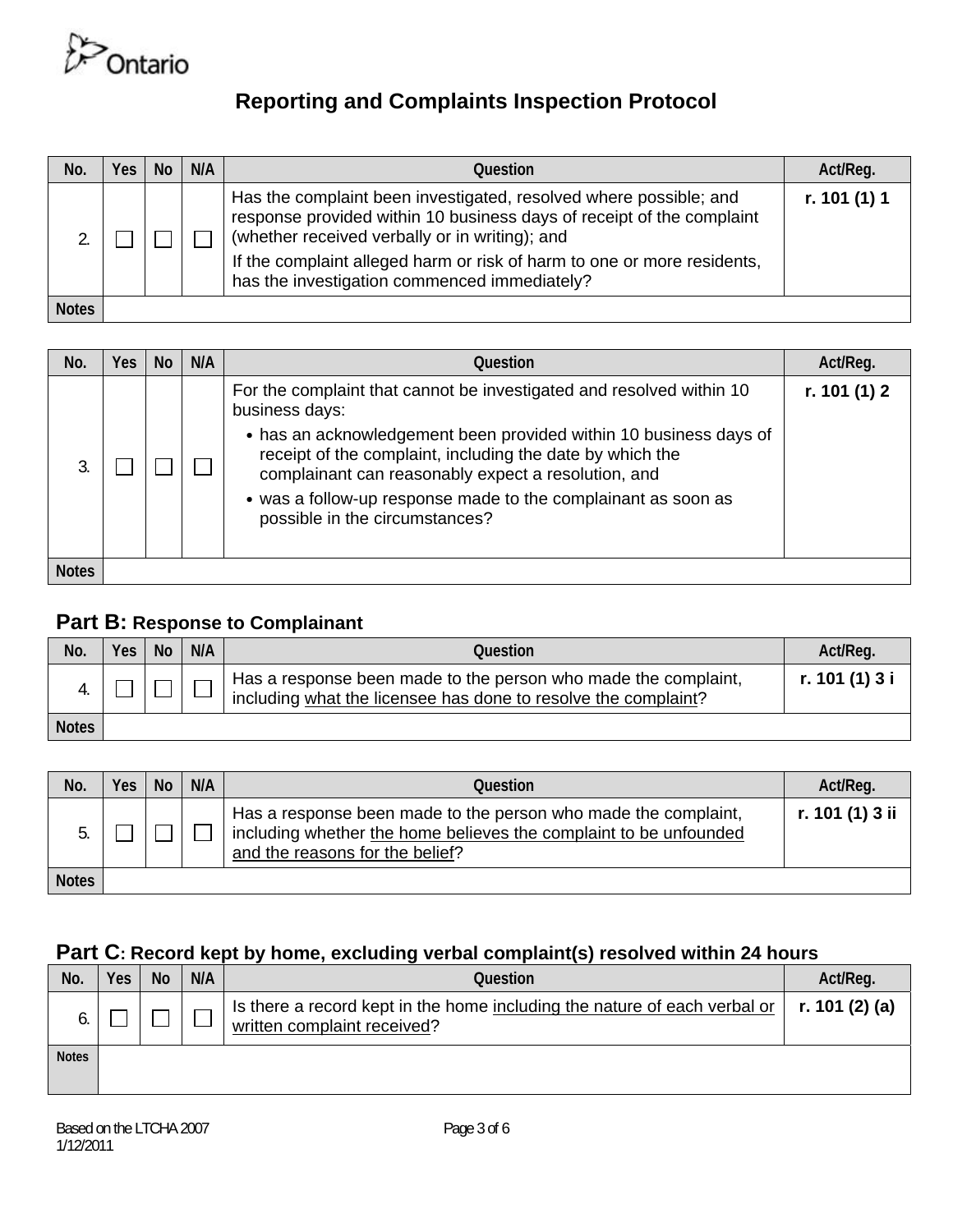

| No.          | Yes | <b>No</b> | N/A | Question                                                                                                                                                                                                                                                                                                                | Act/Reg.     |
|--------------|-----|-----------|-----|-------------------------------------------------------------------------------------------------------------------------------------------------------------------------------------------------------------------------------------------------------------------------------------------------------------------------|--------------|
|              |     |           |     | Has the complaint been investigated, resolved where possible; and<br>response provided within 10 business days of receipt of the complaint<br>(whether received verbally or in writing); and<br>If the complaint alleged harm or risk of harm to one or more residents,<br>has the investigation commenced immediately? | r. 101 (1) 1 |
| <b>Notes</b> |     |           |     |                                                                                                                                                                                                                                                                                                                         |              |

| No.          | Yes | <b>No</b> | N/A | Question                                                                                                                                                                                                                                                                                                                                                                           | Act/Reg.       |
|--------------|-----|-----------|-----|------------------------------------------------------------------------------------------------------------------------------------------------------------------------------------------------------------------------------------------------------------------------------------------------------------------------------------------------------------------------------------|----------------|
|              |     |           |     | For the complaint that cannot be investigated and resolved within 10<br>business days:<br>• has an acknowledgement been provided within 10 business days of<br>receipt of the complaint, including the date by which the<br>complainant can reasonably expect a resolution, and<br>• was a follow-up response made to the complainant as soon as<br>possible in the circumstances? | r. 101 $(1)$ 2 |
| <b>Notes</b> |     |           |     |                                                                                                                                                                                                                                                                                                                                                                                    |                |

### **Part B: Response to Complainant**

| No.          | <b>Yes</b> | <b>No</b> | N/A | Question                                                                                                                         | Act/Reg.       |
|--------------|------------|-----------|-----|----------------------------------------------------------------------------------------------------------------------------------|----------------|
|              |            |           |     | Has a response been made to the person who made the complaint,<br>including what the licensee has done to resolve the complaint? | r. 101 (1) 3 i |
| <b>Notes</b> |            |           |     |                                                                                                                                  |                |

| No.          | Yes | <b>No</b> | N/A | Question                                                                                                                                                               | Act/Req.        |
|--------------|-----|-----------|-----|------------------------------------------------------------------------------------------------------------------------------------------------------------------------|-----------------|
|              |     |           |     | Has a response been made to the person who made the complaint,<br>including whether the home believes the complaint to be unfounded<br>and the reasons for the belief? | r. 101 (1) 3 ii |
| <b>Notes</b> |     |           |     |                                                                                                                                                                        |                 |

## **Part C: Record kept by home, excluding verbal complaint(s) resolved within 24 hours**

| No.          | Yes | <b>No</b> | N/A | Question                                                                                                 | Act/Reg.       |
|--------------|-----|-----------|-----|----------------------------------------------------------------------------------------------------------|----------------|
|              |     |           |     | Is there a record kept in the home including the nature of each verbal or<br>written complaint received? | r. 101 (2) (a) |
| <b>Notes</b> |     |           |     |                                                                                                          |                |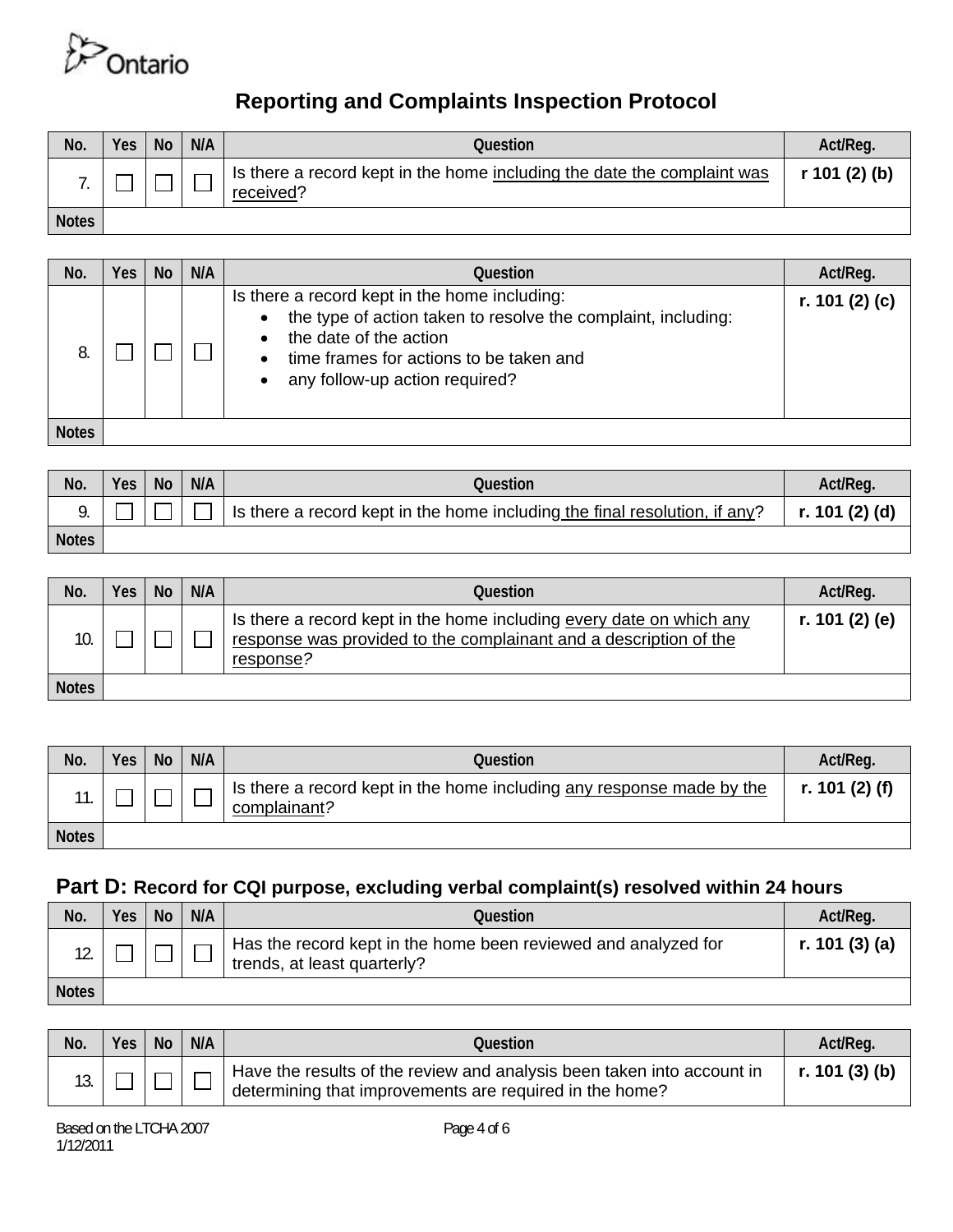

| No.          | Yes | <b>No</b> | N/A | Question                                                                             | Act/Req.      |
|--------------|-----|-----------|-----|--------------------------------------------------------------------------------------|---------------|
|              |     |           |     | Is there a record kept in the home including the date the complaint was<br>received? | r 101 (2) (b) |
| <b>Notes</b> |     |           |     |                                                                                      |               |

| No.          | Yes | <b>No</b> | N/A | <b>Ouestion</b>                                                                                                                                                                                                       | Act/Reg.           |
|--------------|-----|-----------|-----|-----------------------------------------------------------------------------------------------------------------------------------------------------------------------------------------------------------------------|--------------------|
|              |     |           |     | Is there a record kept in the home including:<br>the type of action taken to resolve the complaint, including:<br>the date of the action<br>time frames for actions to be taken and<br>any follow-up action required? | r. 101 $(2)$ $(c)$ |
| <b>Notes</b> |     |           |     |                                                                                                                                                                                                                       |                    |

| No.          | Yes | N <sub>o</sub> | N/A | Question                                                                                                                | Act/Reg. |
|--------------|-----|----------------|-----|-------------------------------------------------------------------------------------------------------------------------|----------|
|              |     |                |     | Is there a record kept in the home including the final resolution, if any? $\ \mathbf{r.101}(\mathbf{2})(\mathbf{d})\ $ |          |
| <b>Notes</b> |     |                |     |                                                                                                                         |          |

| No.          | Yes | <b>No</b> | N/A | Question                                                                                                                                               | Act/Req.       |
|--------------|-----|-----------|-----|--------------------------------------------------------------------------------------------------------------------------------------------------------|----------------|
| 10.          |     |           |     | Is there a record kept in the home including every date on which any<br>response was provided to the complainant and a description of the<br>response? | r. 101 (2) (e) |
| <b>Notes</b> |     |           |     |                                                                                                                                                        |                |

| No.          | Yes | No. | N/A | Question                                                                              | Act/Reg.       |
|--------------|-----|-----|-----|---------------------------------------------------------------------------------------|----------------|
|              |     |     |     | Is there a record kept in the home including any response made by the<br>complainant? | r. 101 (2) (f) |
| <b>Notes</b> |     |     |     |                                                                                       |                |

## **Part D: Record for CQI purpose, excluding verbal complaint(s) resolved within 24 hours**

| No.          | Yes, | No | N/A | Question                                                                                      | Act/Reg.        |
|--------------|------|----|-----|-----------------------------------------------------------------------------------------------|-----------------|
|              |      |    |     | Has the record kept in the home been reviewed and analyzed for<br>trends, at least quarterly? | r. 101 $(3)(a)$ |
| <b>Notes</b> |      |    |     |                                                                                               |                 |

| No. | <b>Yes</b> | <b>No</b> | N/A | Question                                                                                                                          | Act/Reg.       |
|-----|------------|-----------|-----|-----------------------------------------------------------------------------------------------------------------------------------|----------------|
|     |            |           |     | Have the results of the review and analysis been taken into account in<br>determining that improvements are required in the home? | r. 101 (3) (b) |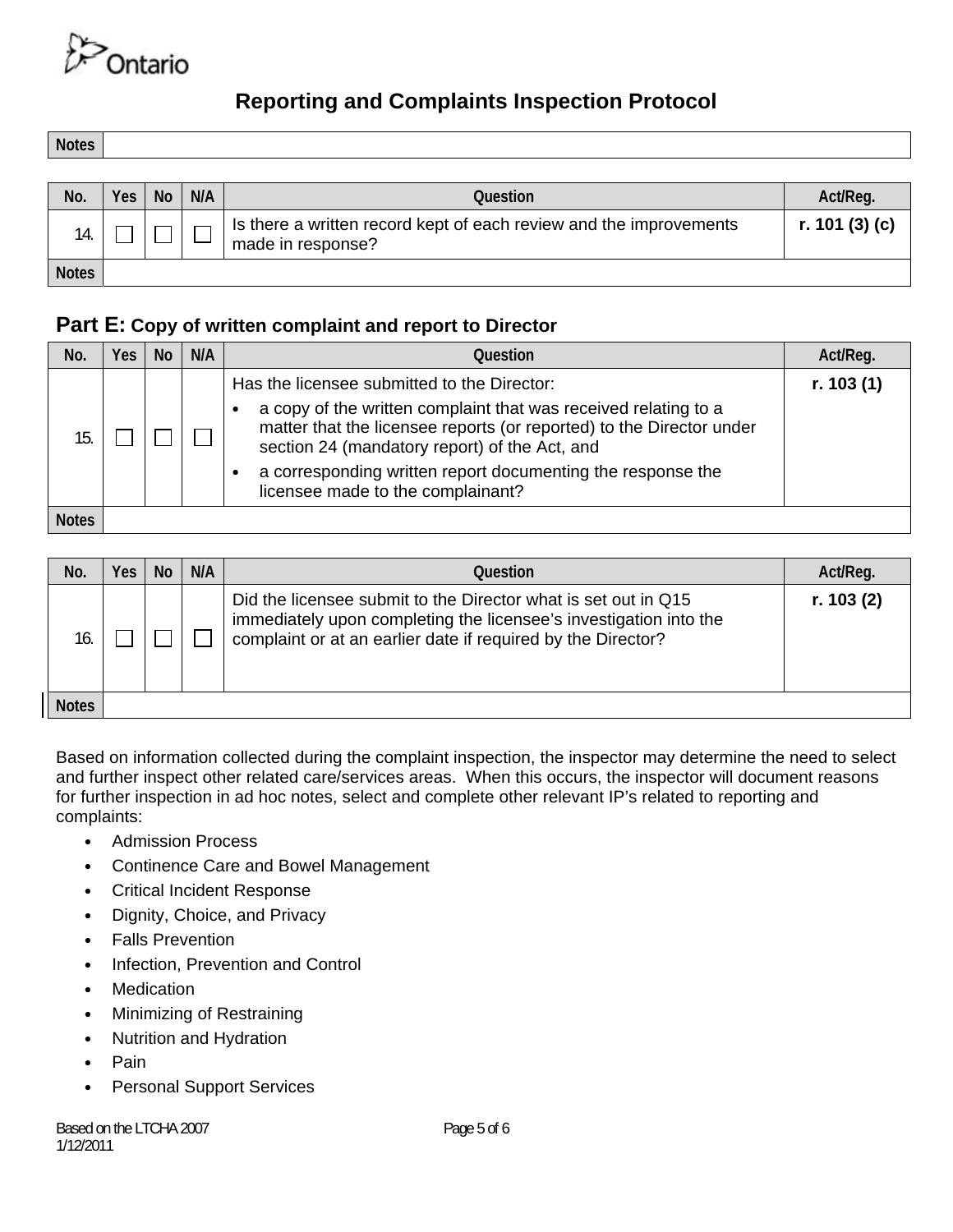

**Notes** 

| No.          | <b>Yes</b> | <b>No</b> | N/A | Question                                                                                | Act/Req.        |
|--------------|------------|-----------|-----|-----------------------------------------------------------------------------------------|-----------------|
| 14.          |            |           |     | Is there a written record kept of each review and the improvements<br>made in response? | r. 101 $(3)(c)$ |
| <b>Notes</b> |            |           |     |                                                                                         |                 |

#### **Part E: Copy of written complaint and report to Director**

| No.          | Yes | <b>No</b> | N/A | Ouestion                                                                                                                                                                                                                                                                                                                                    | Act/Reg.    |
|--------------|-----|-----------|-----|---------------------------------------------------------------------------------------------------------------------------------------------------------------------------------------------------------------------------------------------------------------------------------------------------------------------------------------------|-------------|
| 15           |     |           |     | Has the licensee submitted to the Director:<br>a copy of the written complaint that was received relating to a<br>matter that the licensee reports (or reported) to the Director under<br>section 24 (mandatory report) of the Act, and<br>a corresponding written report documenting the response the<br>licensee made to the complainant? | r. $103(1)$ |
| <b>Notes</b> |     |           |     |                                                                                                                                                                                                                                                                                                                                             |             |

| No.          | Yes | <b>No</b> | N/A | Question                                                                                                                                                                                            | Act/Reg.  |
|--------------|-----|-----------|-----|-----------------------------------------------------------------------------------------------------------------------------------------------------------------------------------------------------|-----------|
| 16.          |     |           |     | Did the licensee submit to the Director what is set out in Q15<br>immediately upon completing the licensee's investigation into the<br>complaint or at an earlier date if required by the Director? | r. 103(2) |
| <b>Notes</b> |     |           |     |                                                                                                                                                                                                     |           |

Based on information collected during the complaint inspection, the inspector may determine the need to select and further inspect other related care/services areas. When this occurs, the inspector will document reasons for further inspection in ad hoc notes, select and complete other relevant IP's related to reporting and complaints:

- **•** Admission Process
- **•** Continence Care and Bowel Management
- **•** Critical Incident Response
- **•** Dignity, Choice, and Privacy
- **•** Falls Prevention
- **•** Infection, Prevention and Control
- **•** Medication
- **•** Minimizing of Restraining
- **•** Nutrition and Hydration
- **•** Pain
- **•** Personal Support Services

Based on the LTCHA 2007 1/12/2011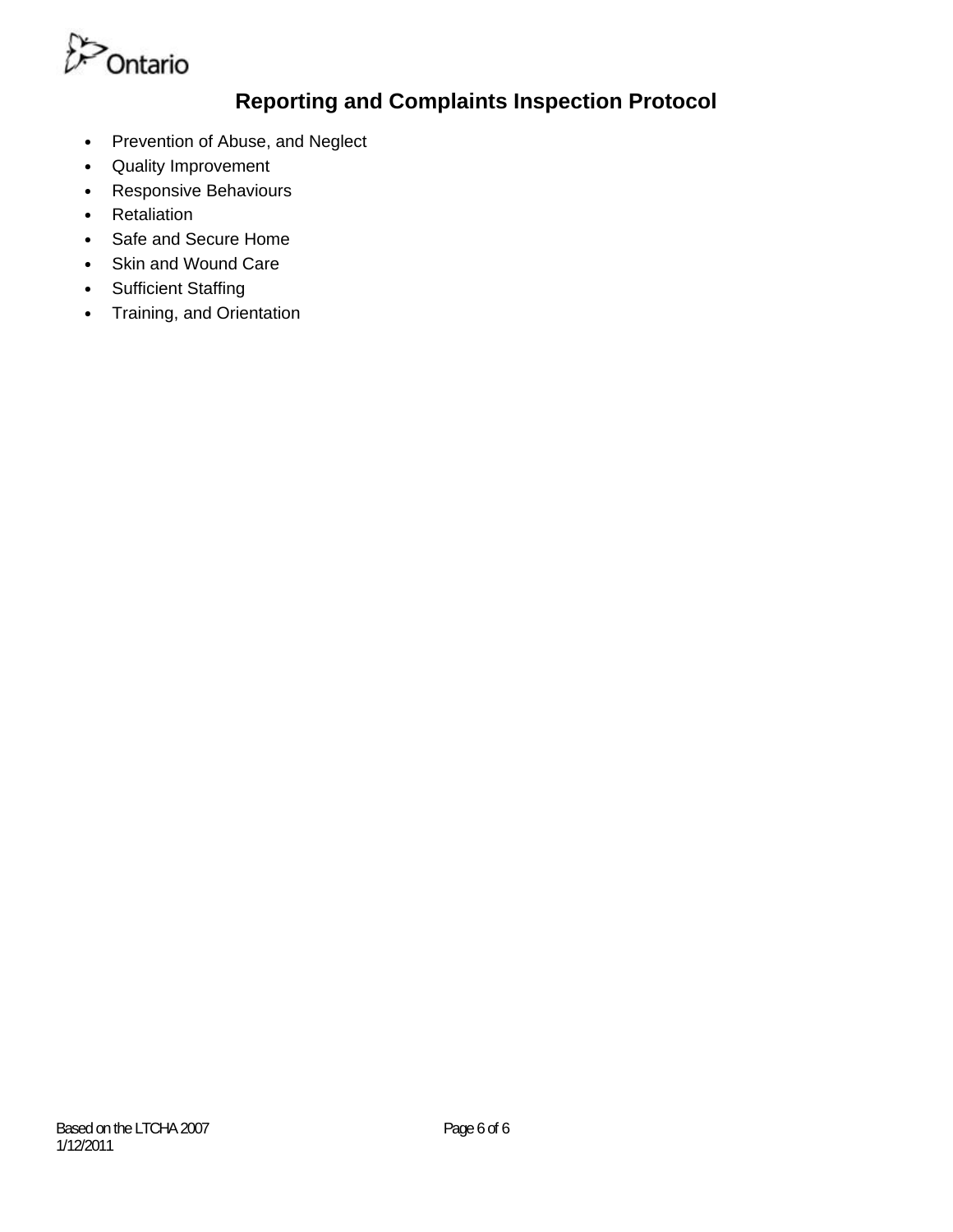

- **•** Prevention of Abuse, and Neglect
- **•** Quality Improvement
- **•** Responsive Behaviours
- **•** Retaliation
- **•** Safe and Secure Home
- **•** Skin and Wound Care
- **•** Sufficient Staffing
- **•** Training, and Orientation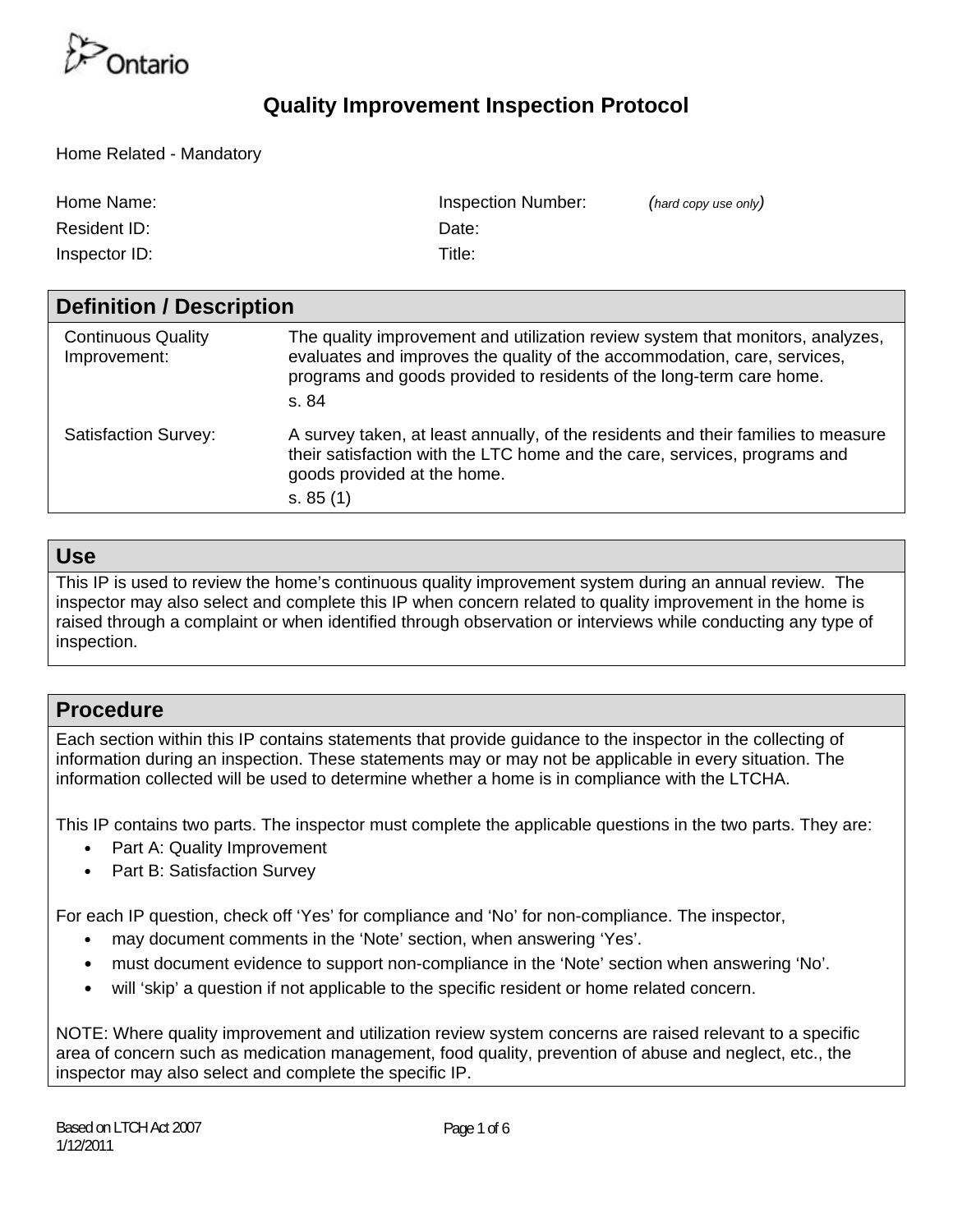

Home Related - Mandatory

| Home Name:    | Inspection Number: | (hard copy use only) |
|---------------|--------------------|----------------------|
| Resident ID:  | Date:              |                      |
| Inspector ID: | Title:             |                      |

| <b>Definition / Description</b>           |                                                                                                                                                                                                                                             |  |  |  |  |  |  |
|-------------------------------------------|---------------------------------------------------------------------------------------------------------------------------------------------------------------------------------------------------------------------------------------------|--|--|--|--|--|--|
| <b>Continuous Quality</b><br>Improvement: | The quality improvement and utilization review system that monitors, analyzes,<br>evaluates and improves the quality of the accommodation, care, services,<br>programs and goods provided to residents of the long-term care home.<br>s. 84 |  |  |  |  |  |  |
| <b>Satisfaction Survey:</b>               | A survey taken, at least annually, of the residents and their families to measure<br>their satisfaction with the LTC home and the care, services, programs and<br>goods provided at the home.<br>s. 85(1)                                   |  |  |  |  |  |  |

#### **Use**

This IP is used to review the home's continuous quality improvement system during an annual review. The inspector may also select and complete this IP when concern related to quality improvement in the home is raised through a complaint or when identified through observation or interviews while conducting any type of inspection.

#### **Procedure**

Each section within this IP contains statements that provide guidance to the inspector in the collecting of information during an inspection. These statements may or may not be applicable in every situation. The information collected will be used to determine whether a home is in compliance with the LTCHA.

This IP contains two parts. The inspector must complete the applicable questions in the two parts. They are:

- Part A: Quality Improvement
- Part B: Satisfaction Survey

For each IP question, check off 'Yes' for compliance and 'No' for non-compliance. The inspector,

- may document comments in the 'Note' section, when answering 'Yes'.
- must document evidence to support non-compliance in the 'Note' section when answering 'No'.
- will 'skip' a question if not applicable to the specific resident or home related concern.

NOTE: Where quality improvement and utilization review system concerns are raised relevant to a specific area of concern such as medication management, food quality, prevention of abuse and neglect, etc., the inspector may also select and complete the specific IP.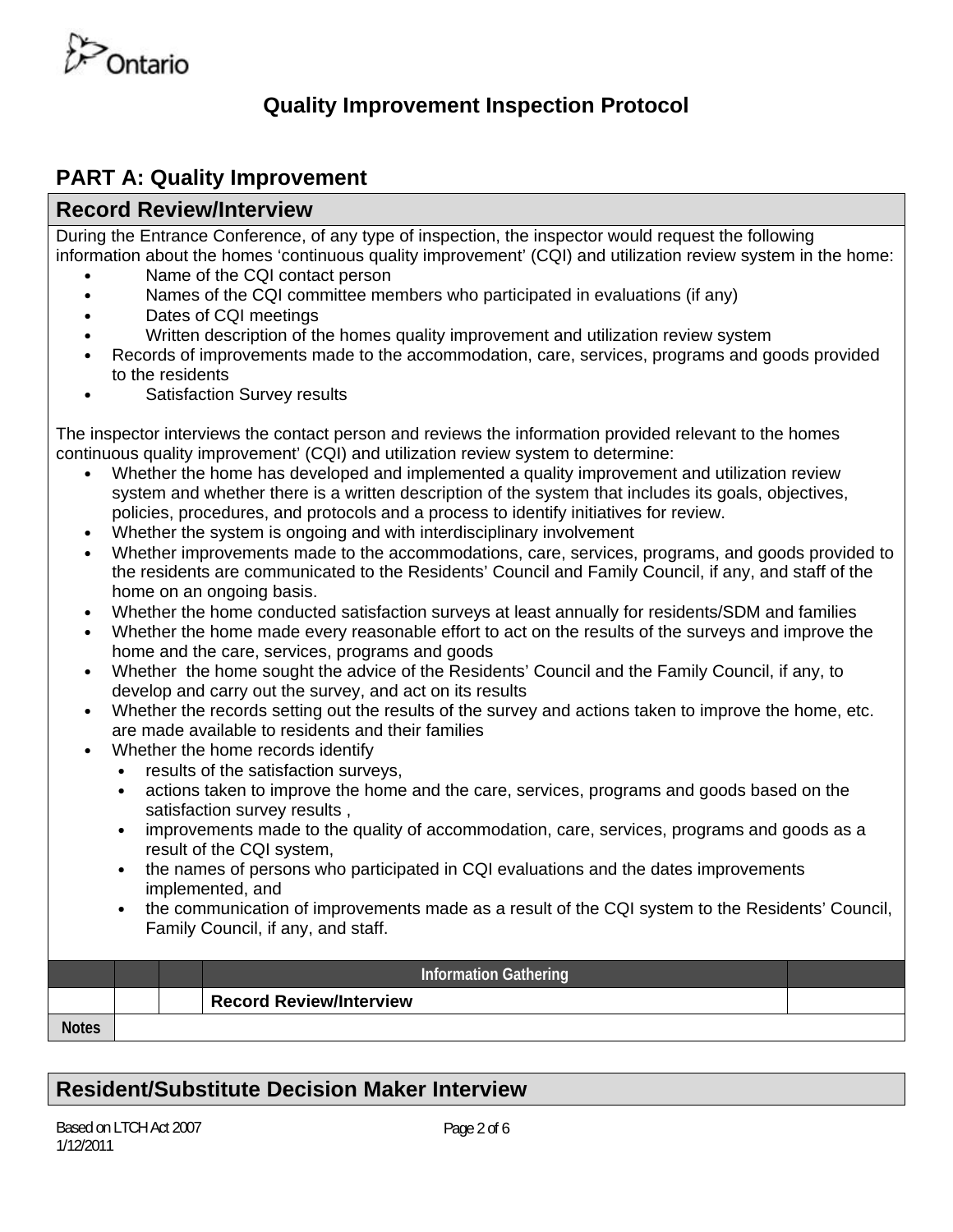

## **PART A: Quality Improvement**

### **Record Review/Interview**

During the Entrance Conference, of any type of inspection, the inspector would request the following information about the homes 'continuous quality improvement' (CQI) and utilization review system in the home:

- Name of the CQI contact person
- Names of the CQI committee members who participated in evaluations (if any)
- Dates of CQI meetings
- Written description of the homes quality improvement and utilization review system
- Records of improvements made to the accommodation, care, services, programs and goods provided to the residents
- Satisfaction Survey results

The inspector interviews the contact person and reviews the information provided relevant to the homes continuous quality improvement' (CQI) and utilization review system to determine:

- Whether the home has developed and implemented a quality improvement and utilization review system and whether there is a written description of the system that includes its goals, objectives, policies, procedures, and protocols and a process to identify initiatives for review.
- Whether the system is ongoing and with interdisciplinary involvement
- Whether improvements made to the accommodations, care, services, programs, and goods provided to the residents are communicated to the Residents' Council and Family Council, if any, and staff of the home on an ongoing basis.
- Whether the home conducted satisfaction surveys at least annually for residents/SDM and families
- Whether the home made every reasonable effort to act on the results of the surveys and improve the home and the care, services, programs and goods
- Whether the home sought the advice of the Residents' Council and the Family Council, if any, to develop and carry out the survey, and act on its results
- Whether the records setting out the results of the survey and actions taken to improve the home, etc. are made available to residents and their families
- Whether the home records identify
	- results of the satisfaction surveys,
	- actions taken to improve the home and the care, services, programs and goods based on the satisfaction survey results ,
	- improvements made to the quality of accommodation, care, services, programs and goods as a result of the CQI system,
	- the names of persons who participated in CQI evaluations and the dates improvements implemented, and
	- the communication of improvements made as a result of the CQI system to the Residents' Council, Family Council, if any, and staff.

|              |  | <b>Information Gathering</b>   |  |
|--------------|--|--------------------------------|--|
|              |  | <b>Record Review/Interview</b> |  |
| <b>Notes</b> |  |                                |  |

## **Resident/Substitute Decision Maker Interview**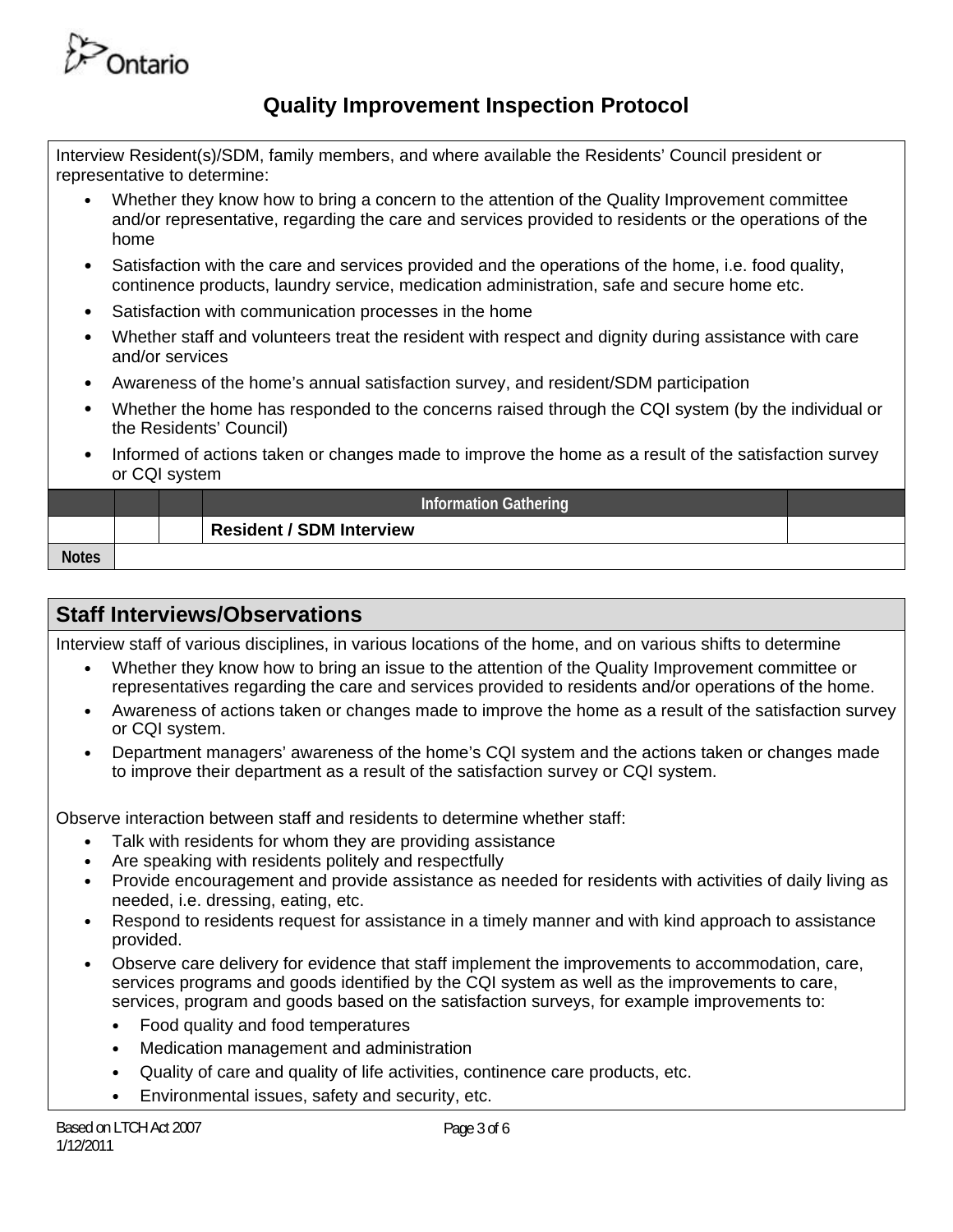

Interview Resident(s)/SDM, family members, and where available the Residents' Council president or representative to determine:

- Whether they know how to bring a concern to the attention of the Quality Improvement committee and/or representative, regarding the care and services provided to residents or the operations of the home
- Satisfaction with the care and services provided and the operations of the home, i.e. food quality, continence products, laundry service, medication administration, safe and secure home etc.
- Satisfaction with communication processes in the home
- Whether staff and volunteers treat the resident with respect and dignity during assistance with care and/or services
- Awareness of the home's annual satisfaction survey, and resident/SDM participation
- Whether the home has responded to the concerns raised through the CQI system (by the individual or the Residents' Council)
- Informed of actions taken or changes made to improve the home as a result of the satisfaction survey or CQI system

|              |  | <b>Information Gathering</b>    |  |
|--------------|--|---------------------------------|--|
|              |  | <b>Resident / SDM Interview</b> |  |
| <b>Notes</b> |  |                                 |  |

#### **Staff Interviews/Observations**

Interview staff of various disciplines, in various locations of the home, and on various shifts to determine

- Whether they know how to bring an issue to the attention of the Quality Improvement committee or representatives regarding the care and services provided to residents and/or operations of the home.
- Awareness of actions taken or changes made to improve the home as a result of the satisfaction survey or CQI system.
- Department managers' awareness of the home's CQI system and the actions taken or changes made to improve their department as a result of the satisfaction survey or CQI system.

Observe interaction between staff and residents to determine whether staff:

- Talk with residents for whom they are providing assistance
- Are speaking with residents politely and respectfully
- Provide encouragement and provide assistance as needed for residents with activities of daily living as needed, i.e. dressing, eating, etc.
- Respond to residents request for assistance in a timely manner and with kind approach to assistance provided.
- Observe care delivery for evidence that staff implement the improvements to accommodation, care, services programs and goods identified by the CQI system as well as the improvements to care, services, program and goods based on the satisfaction surveys, for example improvements to:
	- Food quality and food temperatures
	- Medication management and administration
	- Quality of care and quality of life activities, continence care products, etc.
	- Environmental issues, safety and security, etc.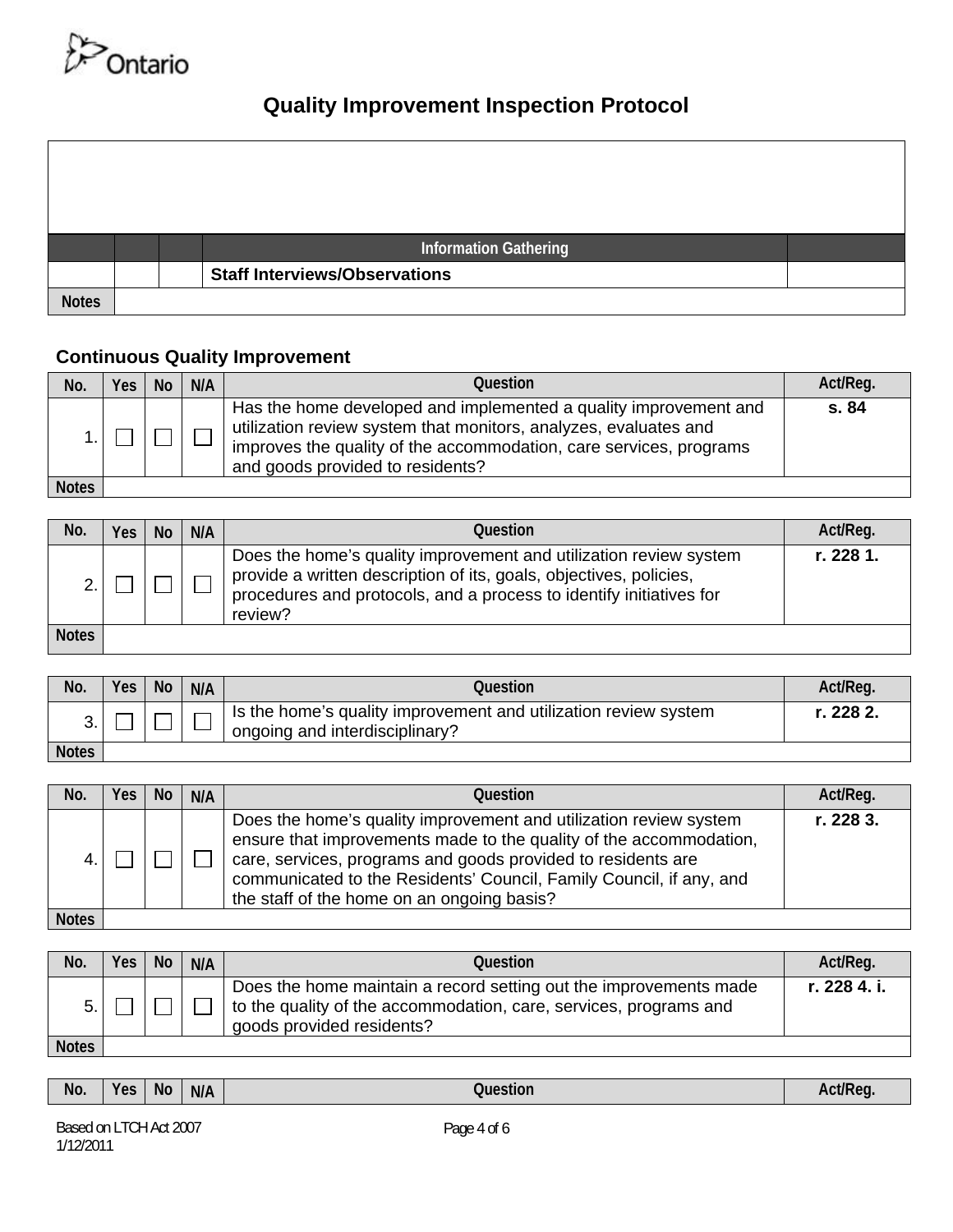

|              |  | Information Gathering                |
|--------------|--|--------------------------------------|
|              |  | <b>Staff Interviews/Observations</b> |
| <b>Notes</b> |  |                                      |

## **Continuous Quality Improvement**

| No.          | Yes | <b>No</b> | N/A | Question                                                                                                                                                                                                                                       | Act/Req. |
|--------------|-----|-----------|-----|------------------------------------------------------------------------------------------------------------------------------------------------------------------------------------------------------------------------------------------------|----------|
|              |     |           |     | Has the home developed and implemented a quality improvement and<br>utilization review system that monitors, analyzes, evaluates and<br>improves the quality of the accommodation, care services, programs<br>and goods provided to residents? | s. 84    |
| <b>Notes</b> |     |           |     |                                                                                                                                                                                                                                                |          |

| No.          | Yes | <b>No</b> | N/A | Question                                                                                                                                                                                                                  | Act/Reg.  |
|--------------|-----|-----------|-----|---------------------------------------------------------------------------------------------------------------------------------------------------------------------------------------------------------------------------|-----------|
|              |     |           |     | Does the home's quality improvement and utilization review system<br>provide a written description of its, goals, objectives, policies,<br>procedures and protocols, and a process to identify initiatives for<br>review? | r. 228 1. |
| <b>Notes</b> |     |           |     |                                                                                                                                                                                                                           |           |

| No.          | Yes | <b>No</b> | N/A | Question                                                                                          | Act/Req.  |
|--------------|-----|-----------|-----|---------------------------------------------------------------------------------------------------|-----------|
|              |     |           |     | Is the home's quality improvement and utilization review system<br>ongoing and interdisciplinary? | r. 228 2. |
| <b>Notes</b> |     |           |     |                                                                                                   |           |

| No.          | <b>Yes</b> | <b>No</b> | N/A | Ouestion                                                                                                                                                                                                                                                                                                                     | Act/Reg.  |
|--------------|------------|-----------|-----|------------------------------------------------------------------------------------------------------------------------------------------------------------------------------------------------------------------------------------------------------------------------------------------------------------------------------|-----------|
|              |            |           |     | Does the home's quality improvement and utilization review system<br>ensure that improvements made to the quality of the accommodation,<br>care, services, programs and goods provided to residents are<br>communicated to the Residents' Council, Family Council, if any, and<br>the staff of the home on an ongoing basis? | r. 228 3. |
| <b>Notes</b> |            |           |     |                                                                                                                                                                                                                                                                                                                              |           |

**Notes** 

| No.          | Yes | <b>No</b> | N/A | Question                                                                                                                                                            | Act/Req.     |
|--------------|-----|-----------|-----|---------------------------------------------------------------------------------------------------------------------------------------------------------------------|--------------|
| 5.           |     |           |     | Does the home maintain a record setting out the improvements made<br>to the quality of the accommodation, care, services, programs and<br>goods provided residents? | r. 228 4. i. |
| <b>Notes</b> |     |           |     |                                                                                                                                                                     |              |

| No. | <b>No</b><br><b>Yes</b> | N/A | Question | Act/Req |
|-----|-------------------------|-----|----------|---------|
|-----|-------------------------|-----|----------|---------|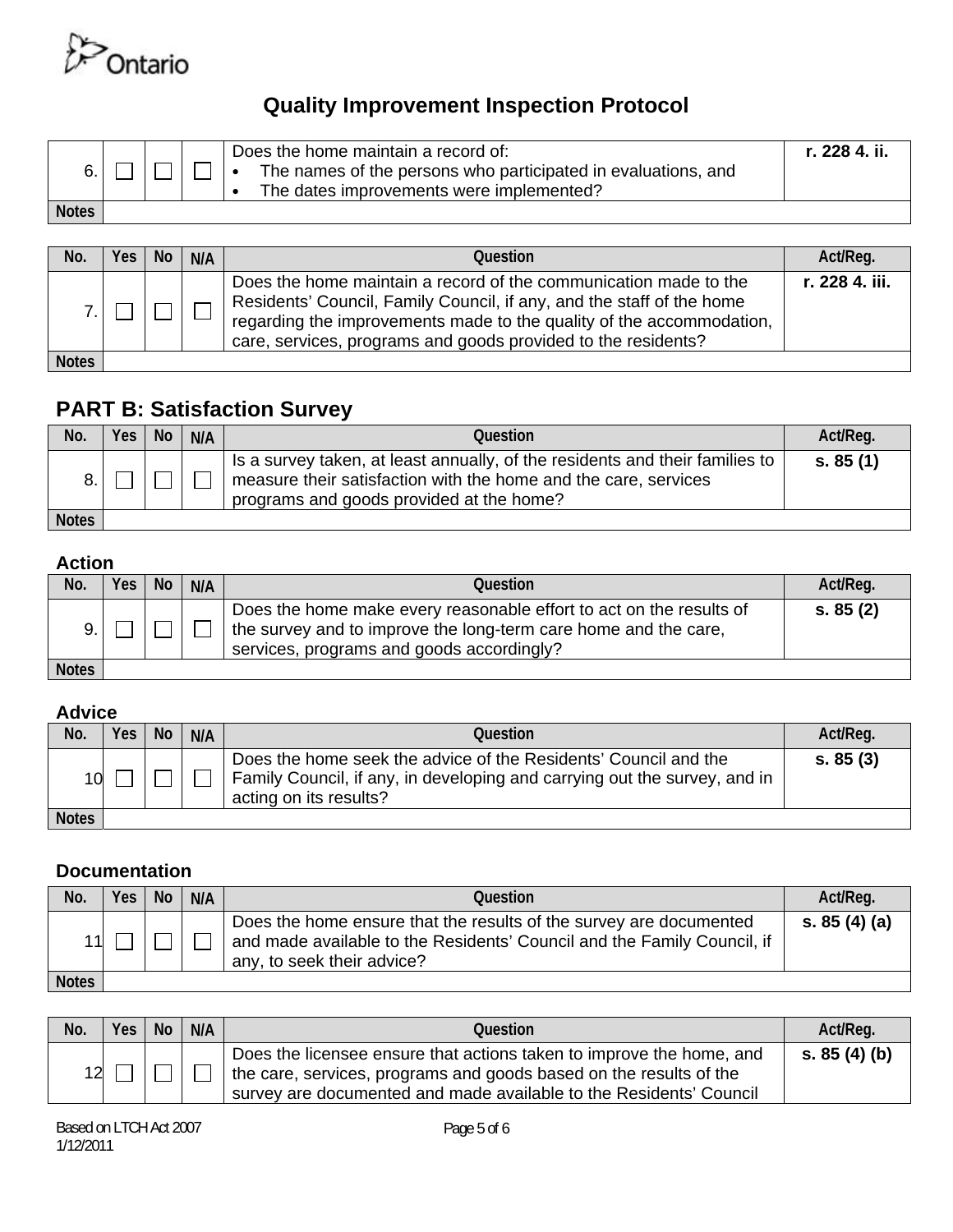

|              |  | Does the home maintain a record of:<br>The names of the persons who participated in evaluations, and<br>The dates improvements were implemented? | r. 228 4. ii. |
|--------------|--|--------------------------------------------------------------------------------------------------------------------------------------------------|---------------|
| <b>Notes</b> |  |                                                                                                                                                  |               |

| No.          | Yes: | <b>No</b> | N/A | Question                                                                                                                                                                                                                                                                           | Act/Reg.       |
|--------------|------|-----------|-----|------------------------------------------------------------------------------------------------------------------------------------------------------------------------------------------------------------------------------------------------------------------------------------|----------------|
|              |      |           |     | Does the home maintain a record of the communication made to the<br>Residents' Council, Family Council, if any, and the staff of the home<br>regarding the improvements made to the quality of the accommodation,<br>care, services, programs and goods provided to the residents? | r. 228 4. iii. |
| <b>Notes</b> |      |           |     |                                                                                                                                                                                                                                                                                    |                |

## **PART B: Satisfaction Survey**

| No.          | <b>Yes</b> | No. | N/A | Question                                                                                                                                                                                    | Act/Reg. |
|--------------|------------|-----|-----|---------------------------------------------------------------------------------------------------------------------------------------------------------------------------------------------|----------|
|              |            |     |     | Is a survey taken, at least annually, of the residents and their families to<br>measure their satisfaction with the home and the care, services<br>programs and goods provided at the home? | s. 85(1) |
| <b>Notes</b> |            |     |     |                                                                                                                                                                                             |          |

#### **Action**

| No.          | <b>Yes</b> | No. | N/A | Question                                                                                                                                                                            | Act/Req. |
|--------------|------------|-----|-----|-------------------------------------------------------------------------------------------------------------------------------------------------------------------------------------|----------|
|              |            |     |     | Does the home make every reasonable effort to act on the results of<br>the survey and to improve the long-term care home and the care,<br>services, programs and goods accordingly? | s. 85(2) |
| <b>Notes</b> |            |     |     |                                                                                                                                                                                     |          |

#### **Advice**

| No.          | Yes   No | N/A | Question                                                                                                                                                               | Act/Req. |
|--------------|----------|-----|------------------------------------------------------------------------------------------------------------------------------------------------------------------------|----------|
| 10           |          |     | Does the home seek the advice of the Residents' Council and the<br>Family Council, if any, in developing and carrying out the survey, and in<br>acting on its results? | s. 85(3) |
| <b>Notes</b> |          |     |                                                                                                                                                                        |          |

#### **Documentation**

| No.          | <b>Yes</b> | <b>No</b> | N/A | Ouestion                                                                                                                                                                    | Act/Req.      |
|--------------|------------|-----------|-----|-----------------------------------------------------------------------------------------------------------------------------------------------------------------------------|---------------|
|              |            |           |     | Does the home ensure that the results of the survey are documented<br>and made available to the Residents' Council and the Family Council, if<br>any, to seek their advice? | s. $85(4)(a)$ |
| <b>Notes</b> |            |           |     |                                                                                                                                                                             |               |

| No. | Yes | <b>No</b> | N/A | Question                                                                                                                                                                                                         | Act/Req.      |
|-----|-----|-----------|-----|------------------------------------------------------------------------------------------------------------------------------------------------------------------------------------------------------------------|---------------|
| 12  |     |           |     | Does the licensee ensure that actions taken to improve the home, and<br>the care, services, programs and goods based on the results of the<br>survey are documented and made available to the Residents' Council | s. $85(4)(b)$ |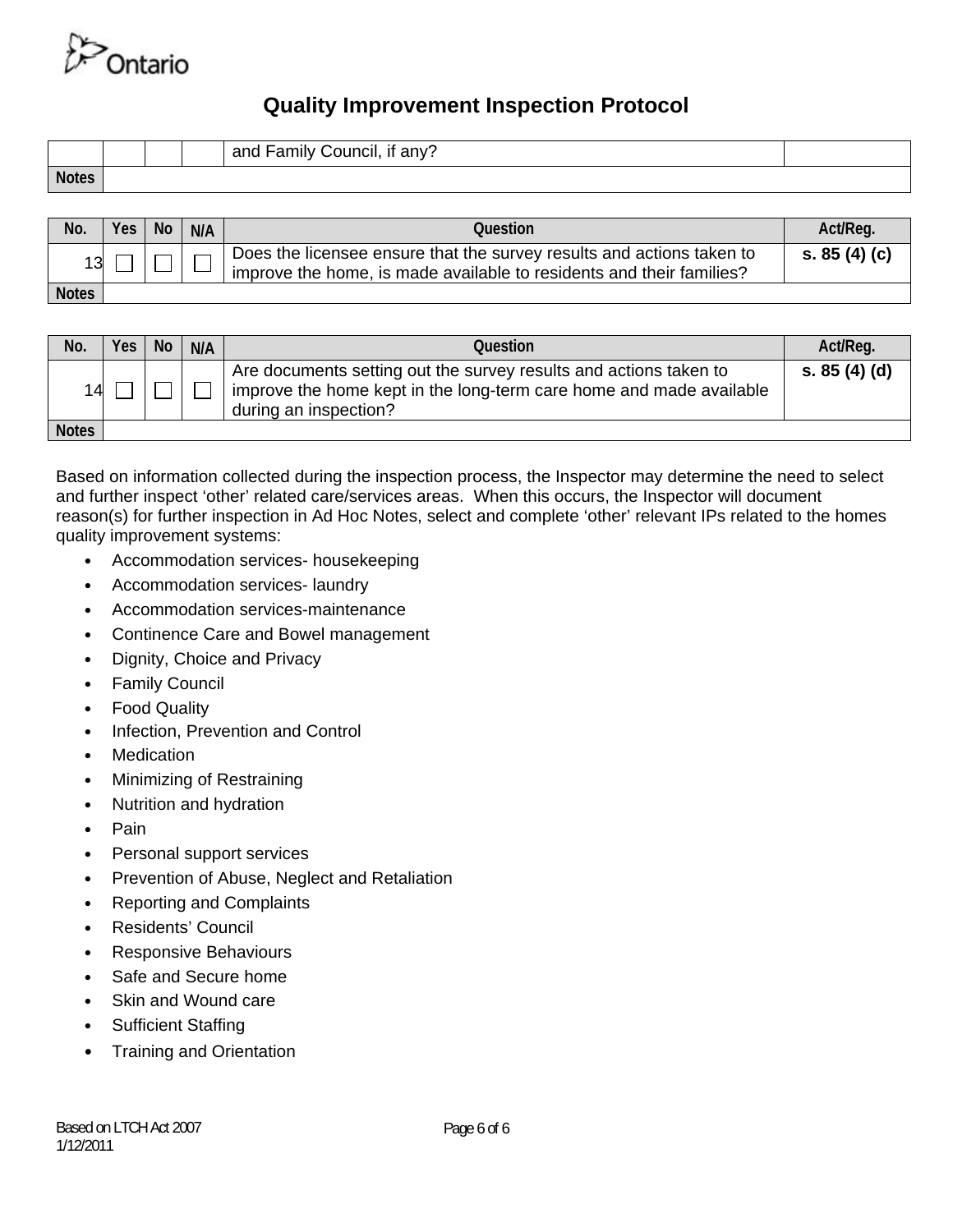

|              |  | <br>and Family Council, if any? |
|--------------|--|---------------------------------|
| <b>Notes</b> |  |                                 |

| No.          | Yes   No | N/A | Question                                                                                                                                      | Act/Reg.      |
|--------------|----------|-----|-----------------------------------------------------------------------------------------------------------------------------------------------|---------------|
| 13           |          |     | Does the licensee ensure that the survey results and actions taken to<br>improve the home, is made available to residents and their families? | s. $85(4)(c)$ |
| <b>Notes</b> |          |     |                                                                                                                                               |               |

| No.          | Yes | <b>No</b> | N/A | Question                                                                                                                                                          | Act/Req.    |
|--------------|-----|-----------|-----|-------------------------------------------------------------------------------------------------------------------------------------------------------------------|-------------|
| 14           |     |           |     | Are documents setting out the survey results and actions taken to<br>improve the home kept in the long-term care home and made available<br>during an inspection? | s. 85(4)(d) |
| <b>Notes</b> |     |           |     |                                                                                                                                                                   |             |

Based on information collected during the inspection process, the Inspector may determine the need to select and further inspect 'other' related care/services areas. When this occurs, the Inspector will document reason(s) for further inspection in Ad Hoc Notes, select and complete 'other' relevant IPs related to the homes quality improvement systems:

- **•** Accommodation services- housekeeping
- **•** Accommodation services- laundry
- **•** Accommodation services-maintenance
- **•** Continence Care and Bowel management
- **•** Dignity, Choice and Privacy
- **•** Family Council
- **•** Food Quality
- **•** Infection, Prevention and Control
- **•** Medication
- **•** Minimizing of Restraining
- **•** Nutrition and hydration
- **•** Pain
- **•** Personal support services
- **•** Prevention of Abuse, Neglect and Retaliation
- **•** Reporting and Complaints
- **•** Residents' Council
- **•** Responsive Behaviours
- **•** Safe and Secure home
- **•** Skin and Wound care
- **•** Sufficient Staffing
- **•** Training and Orientation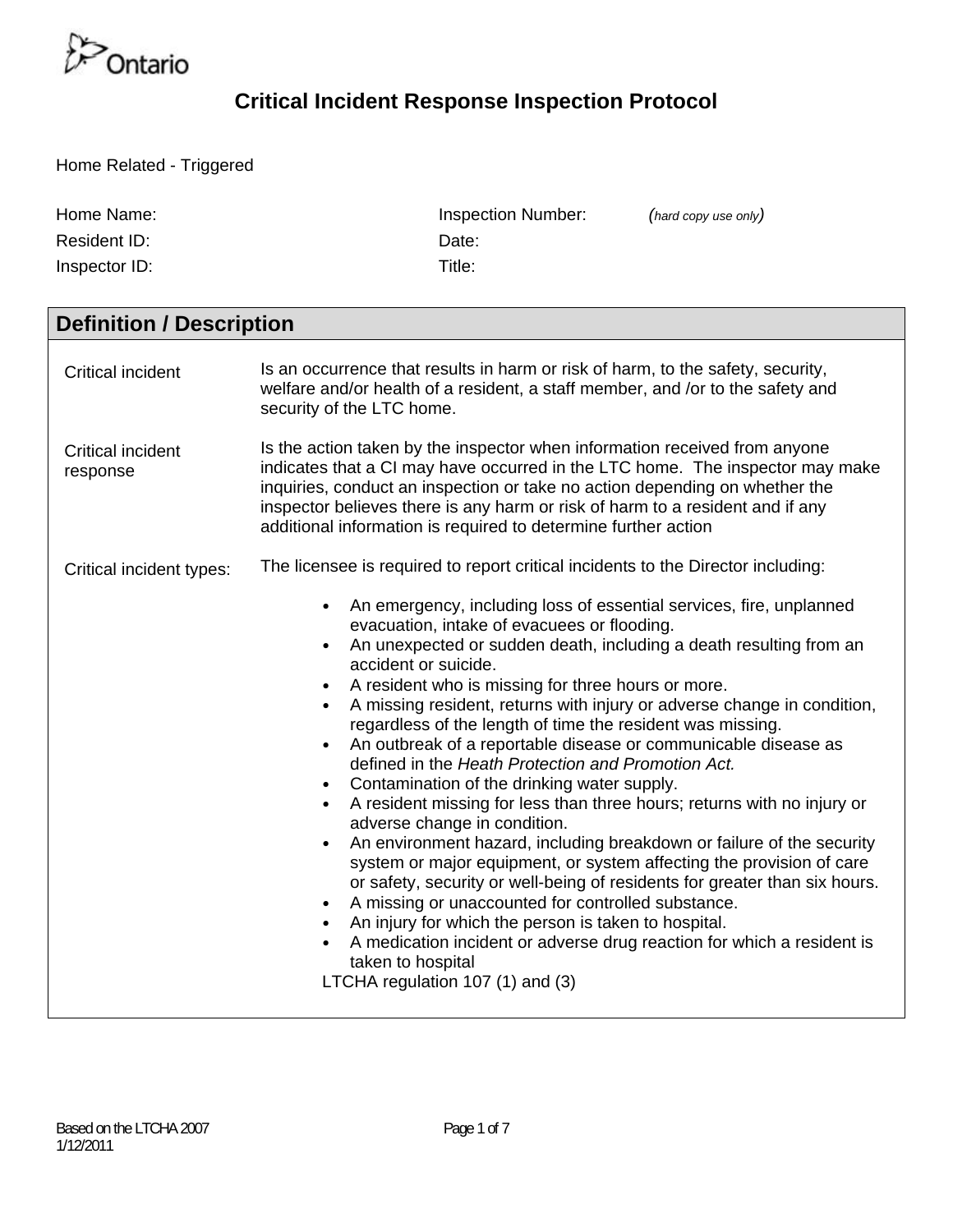

Home Related - Triggered

| Home Name:<br>Resident ID:<br>Inspector ID: | <b>Inspection Number:</b><br>(hard copy use only)<br>Date:<br>Title:                                                                                                                                                                                                                                                                                                                                                                                                                                                                                                                                                                                                                                                                                                                                                                                                                                                                                                                                                                                                                                                                                                                                                                                                                            |
|---------------------------------------------|-------------------------------------------------------------------------------------------------------------------------------------------------------------------------------------------------------------------------------------------------------------------------------------------------------------------------------------------------------------------------------------------------------------------------------------------------------------------------------------------------------------------------------------------------------------------------------------------------------------------------------------------------------------------------------------------------------------------------------------------------------------------------------------------------------------------------------------------------------------------------------------------------------------------------------------------------------------------------------------------------------------------------------------------------------------------------------------------------------------------------------------------------------------------------------------------------------------------------------------------------------------------------------------------------|
| <b>Definition / Description</b>             |                                                                                                                                                                                                                                                                                                                                                                                                                                                                                                                                                                                                                                                                                                                                                                                                                                                                                                                                                                                                                                                                                                                                                                                                                                                                                                 |
| <b>Critical incident</b>                    | Is an occurrence that results in harm or risk of harm, to the safety, security,<br>welfare and/or health of a resident, a staff member, and /or to the safety and<br>security of the LTC home.                                                                                                                                                                                                                                                                                                                                                                                                                                                                                                                                                                                                                                                                                                                                                                                                                                                                                                                                                                                                                                                                                                  |
| <b>Critical incident</b><br>response        | Is the action taken by the inspector when information received from anyone<br>indicates that a CI may have occurred in the LTC home. The inspector may make<br>inquiries, conduct an inspection or take no action depending on whether the<br>inspector believes there is any harm or risk of harm to a resident and if any<br>additional information is required to determine further action                                                                                                                                                                                                                                                                                                                                                                                                                                                                                                                                                                                                                                                                                                                                                                                                                                                                                                   |
| Critical incident types:                    | The licensee is required to report critical incidents to the Director including:<br>An emergency, including loss of essential services, fire, unplanned<br>$\bullet$<br>evacuation, intake of evacuees or flooding.<br>An unexpected or sudden death, including a death resulting from an<br>accident or suicide.<br>A resident who is missing for three hours or more.<br>A missing resident, returns with injury or adverse change in condition,<br>$\bullet$<br>regardless of the length of time the resident was missing.<br>An outbreak of a reportable disease or communicable disease as<br>defined in the Heath Protection and Promotion Act.<br>Contamination of the drinking water supply.<br>A resident missing for less than three hours; returns with no injury or<br>adverse change in condition.<br>An environment hazard, including breakdown or failure of the security<br>system or major equipment, or system affecting the provision of care<br>or safety, security or well-being of residents for greater than six hours.<br>A missing or unaccounted for controlled substance.<br>An injury for which the person is taken to hospital.<br>A medication incident or adverse drug reaction for which a resident is<br>taken to hospital<br>LTCHA regulation 107 (1) and (3) |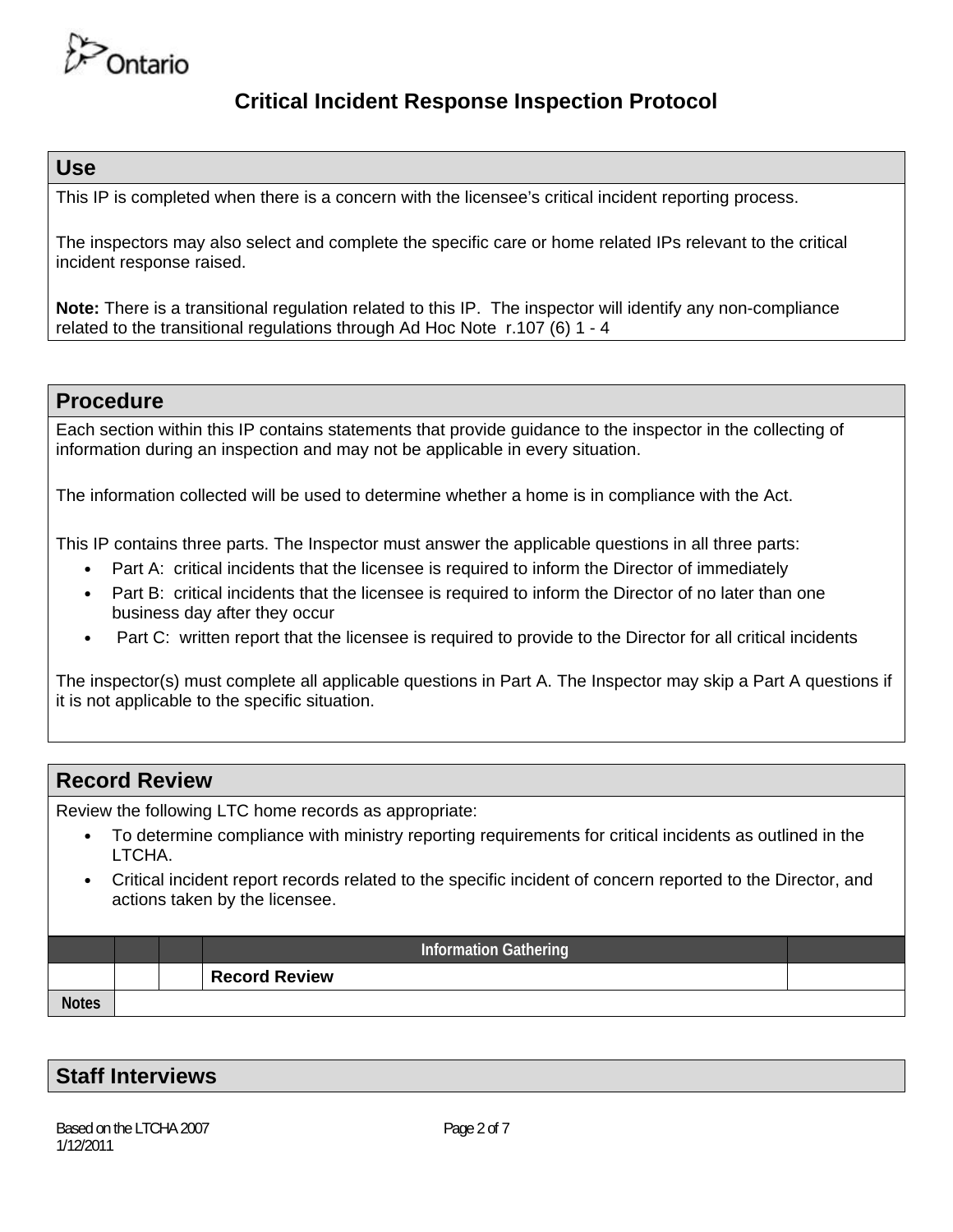

#### **Use**

This IP is completed when there is a concern with the licensee's critical incident reporting process.

The inspectors may also select and complete the specific care or home related IPs relevant to the critical incident response raised.

**Note:** There is a transitional regulation related to this IP. The inspector will identify any non-compliance related to the transitional regulations through Ad Hoc Note r.107 (6) 1 - 4

#### **Procedure**

Each section within this IP contains statements that provide guidance to the inspector in the collecting of information during an inspection and may not be applicable in every situation.

The information collected will be used to determine whether a home is in compliance with the Act.

This IP contains three parts. The Inspector must answer the applicable questions in all three parts:

- Part A: critical incidents that the licensee is required to inform the Director of immediately
- Part B: critical incidents that the licensee is required to inform the Director of no later than one business day after they occur
- Part C: written report that the licensee is required to provide to the Director for all critical incidents

The inspector(s) must complete all applicable questions in Part A. The Inspector may skip a Part A questions if it is not applicable to the specific situation.

### **Record Review**

Review the following LTC home records as appropriate:

- To determine compliance with ministry reporting requirements for critical incidents as outlined in the LTCHA.
- Critical incident report records related to the specific incident of concern reported to the Director, and actions taken by the licensee.

|              |  | <b>Information Gathering</b> |  |
|--------------|--|------------------------------|--|
|              |  | <b>Record Review</b>         |  |
| <b>Notes</b> |  |                              |  |

### **Staff Interviews**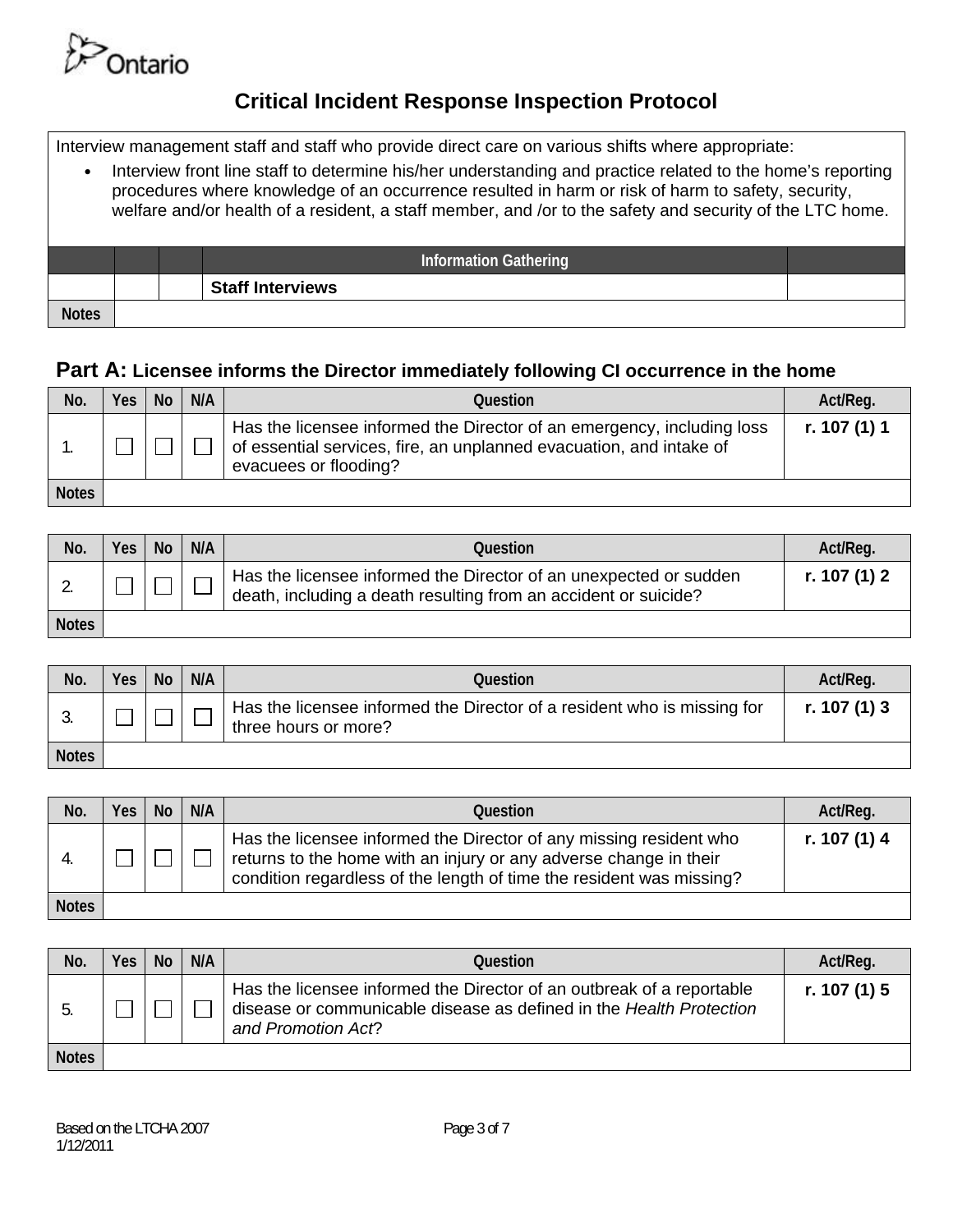

Interview management staff and staff who provide direct care on various shifts where appropriate:

• Interview front line staff to determine his/her understanding and practice related to the home's reporting procedures where knowledge of an occurrence resulted in harm or risk of harm to safety, security, welfare and/or health of a resident, a staff member, and /or to the safety and security of the LTC home. **Information Gathering Staff Interviews Notes** 

#### **Part A: Licensee informs the Director immediately following CI occurrence in the home**

| No.          | <b>Yes</b> | <b>No</b> | N/A | Question                                                                                                                                                               | Act/Req.     |
|--------------|------------|-----------|-----|------------------------------------------------------------------------------------------------------------------------------------------------------------------------|--------------|
|              |            |           |     | Has the licensee informed the Director of an emergency, including loss<br>of essential services, fire, an unplanned evacuation, and intake of<br>evacuees or flooding? | r. 107 (1) 1 |
| <b>Notes</b> |            |           |     |                                                                                                                                                                        |              |

| No.          | Yes | <b>No</b> | N/A | Question                                                                                                                             | Act/Req.     |
|--------------|-----|-----------|-----|--------------------------------------------------------------------------------------------------------------------------------------|--------------|
|              |     |           |     | Has the licensee informed the Director of an unexpected or sudden<br>death, including a death resulting from an accident or suicide? | r. 107 (1) 2 |
| <b>Notes</b> |     |           |     |                                                                                                                                      |              |

| No.          | Yes | <b>No</b> | N/A | Question                                                                                        | Act/Reg.       |
|--------------|-----|-----------|-----|-------------------------------------------------------------------------------------------------|----------------|
|              |     |           |     | Has the licensee informed the Director of a resident who is missing for<br>three hours or more? | r. 107 $(1)$ 3 |
| <b>Notes</b> |     |           |     |                                                                                                 |                |

| No.          | Yes   No | N/A | <b>Question</b>                                                                                                                                                                                                 | Act/Req.     |
|--------------|----------|-----|-----------------------------------------------------------------------------------------------------------------------------------------------------------------------------------------------------------------|--------------|
|              |          |     | Has the licensee informed the Director of any missing resident who<br>returns to the home with an injury or any adverse change in their<br>condition regardless of the length of time the resident was missing? | r. 107 (1) 4 |
| <b>Notes</b> |          |     |                                                                                                                                                                                                                 |              |

| No.          | Yes | <b>No</b> | N/A | Question                                                                                                                                                           | Act/Reg.     |
|--------------|-----|-----------|-----|--------------------------------------------------------------------------------------------------------------------------------------------------------------------|--------------|
|              |     |           |     | Has the licensee informed the Director of an outbreak of a reportable<br>disease or communicable disease as defined in the Health Protection<br>and Promotion Act? | r. 107 (1) 5 |
| <b>Notes</b> |     |           |     |                                                                                                                                                                    |              |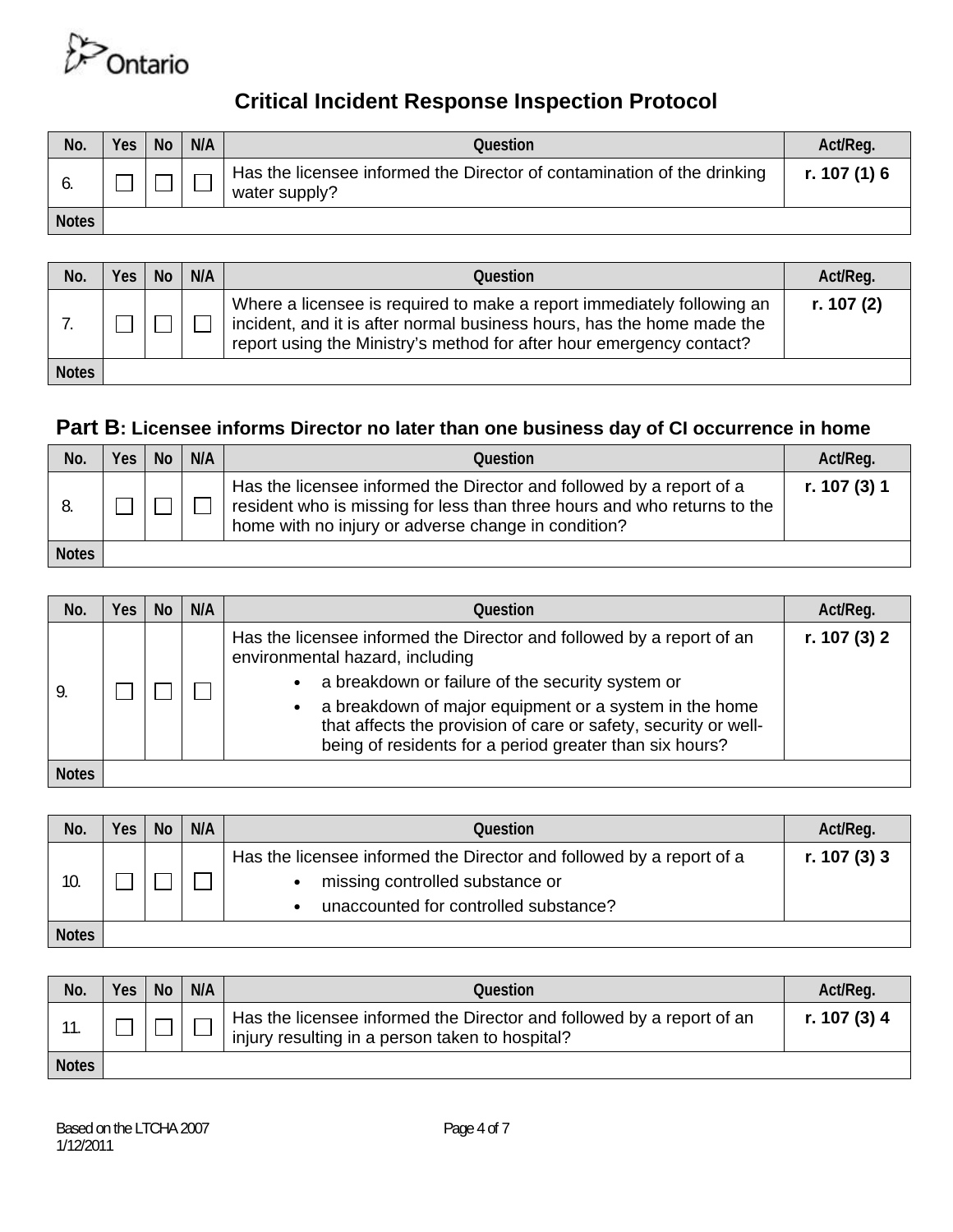

| No.          | Yes | <b>No</b> | N/A | Question                                                                                 | Act/Reg.     |
|--------------|-----|-----------|-----|------------------------------------------------------------------------------------------|--------------|
| ο.           |     |           |     | Has the licensee informed the Director of contamination of the drinking<br>water supply? | r. 107 (1) 6 |
| <b>Notes</b> |     |           |     |                                                                                          |              |

| No.          | <b>Yes</b> | l No | N/A | Question                                                                                                                                                                                                                 | Act/Reg.     |
|--------------|------------|------|-----|--------------------------------------------------------------------------------------------------------------------------------------------------------------------------------------------------------------------------|--------------|
|              |            |      |     | Where a licensee is required to make a report immediately following an<br>incident, and it is after normal business hours, has the home made the<br>report using the Ministry's method for after hour emergency contact? | r. 107 $(2)$ |
| <b>Notes</b> |            |      |     |                                                                                                                                                                                                                          |              |

## **Part B: Licensee informs Director no later than one business day of CI occurrence in home**

| No.          | <b>Yes</b> | <b>No</b> | N/A | Question                                                                                                                                                                                                | Act/Req.     |
|--------------|------------|-----------|-----|---------------------------------------------------------------------------------------------------------------------------------------------------------------------------------------------------------|--------------|
|              |            |           |     | Has the licensee informed the Director and followed by a report of a<br>resident who is missing for less than three hours and who returns to the<br>home with no injury or adverse change in condition? | r. 107 (3) 1 |
| <b>Notes</b> |            |           |     |                                                                                                                                                                                                         |              |

| No.          | Yes | <b>No</b> | N/A | Ouestion                                                                                                                                                                                                                                                                                                                                             | Act/Reg.     |
|--------------|-----|-----------|-----|------------------------------------------------------------------------------------------------------------------------------------------------------------------------------------------------------------------------------------------------------------------------------------------------------------------------------------------------------|--------------|
| 9.           |     |           |     | Has the licensee informed the Director and followed by a report of an<br>environmental hazard, including<br>a breakdown or failure of the security system or<br>a breakdown of major equipment or a system in the home<br>that affects the provision of care or safety, security or well-<br>being of residents for a period greater than six hours? | r. 107 (3) 2 |
| <b>Notes</b> |     |           |     |                                                                                                                                                                                                                                                                                                                                                      |              |

| No.          | Yes | <b>No</b> | N/A | Question                                                                                                                                         | Act/Reg.       |
|--------------|-----|-----------|-----|--------------------------------------------------------------------------------------------------------------------------------------------------|----------------|
| 10           |     |           |     | Has the licensee informed the Director and followed by a report of a<br>missing controlled substance or<br>unaccounted for controlled substance? | r. 107 $(3)$ 3 |
| <b>Notes</b> |     |           |     |                                                                                                                                                  |                |

| No.          | <b>Yes</b> | <b>No</b> | N/A | Question                                                                                                                 | Act/Reg.     |
|--------------|------------|-----------|-----|--------------------------------------------------------------------------------------------------------------------------|--------------|
| п.           |            |           |     | Has the licensee informed the Director and followed by a report of an<br>injury resulting in a person taken to hospital? | r. 107 (3) 4 |
| <b>Notes</b> |            |           |     |                                                                                                                          |              |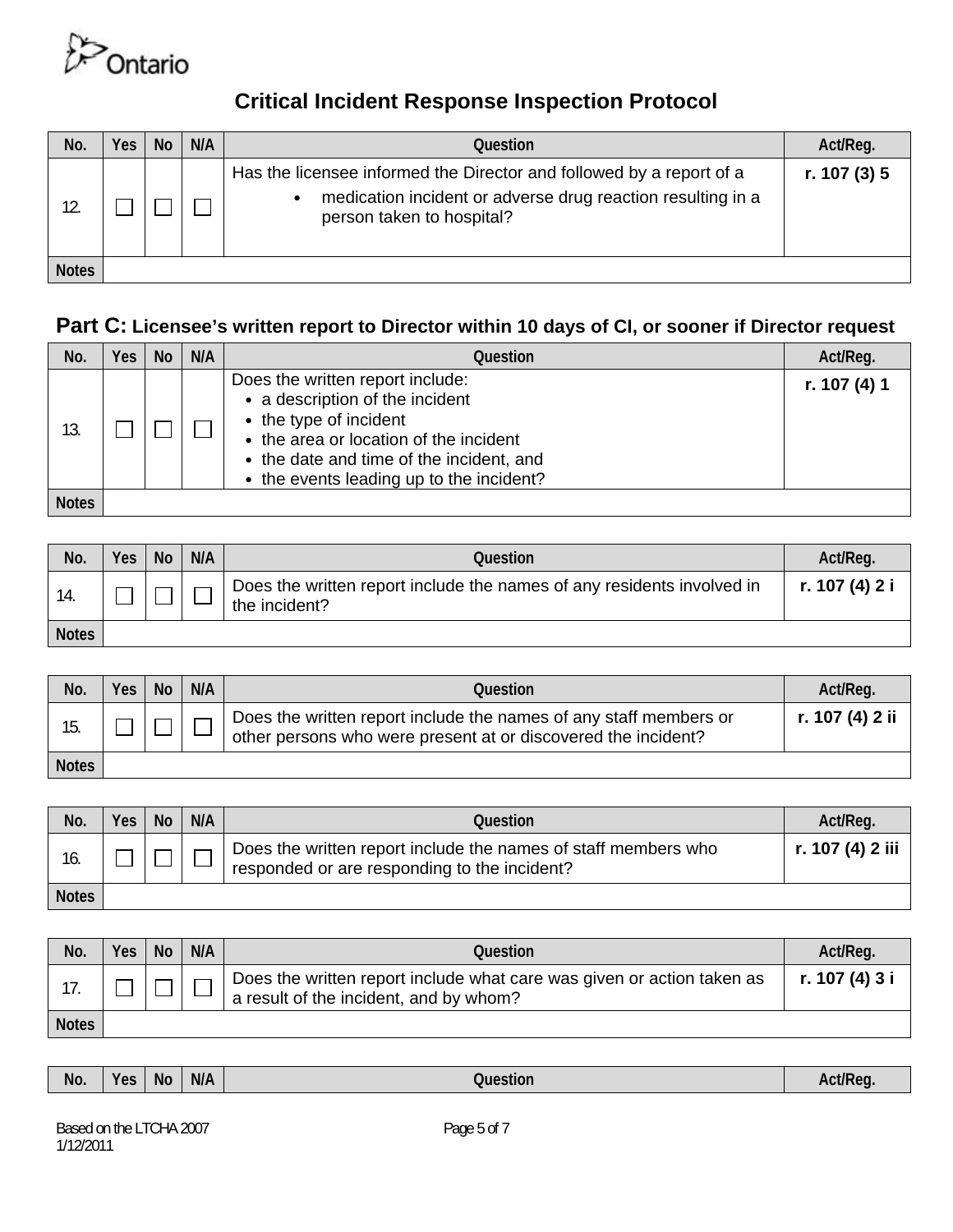

| No.          | Yes | <b>No</b> | N/A | Question                                                                                                                                                                      | Act/Reg.     |
|--------------|-----|-----------|-----|-------------------------------------------------------------------------------------------------------------------------------------------------------------------------------|--------------|
|              |     |           |     | Has the licensee informed the Director and followed by a report of a<br>medication incident or adverse drug reaction resulting in a<br>$\bullet$<br>person taken to hospital? | r. 107 (3) 5 |
| <b>Notes</b> |     |           |     |                                                                                                                                                                               |              |

#### **Part C: Licensee's written report to Director within 10 days of CI, or sooner if Director request**

| No.          | Yes | <b>No</b> | N/A | Ouestion                                                                                                                                                                                                                        | Act/Reg.     |
|--------------|-----|-----------|-----|---------------------------------------------------------------------------------------------------------------------------------------------------------------------------------------------------------------------------------|--------------|
| 13.          |     |           |     | Does the written report include:<br>• a description of the incident<br>• the type of incident<br>• the area or location of the incident<br>• the date and time of the incident, and<br>• the events leading up to the incident? | r. 107 (4) 1 |
| <b>Notes</b> |     |           |     |                                                                                                                                                                                                                                 |              |

| No.          | Yes | <b>No</b> | N/A | Question                                                                                | Act/Req.       |
|--------------|-----|-----------|-----|-----------------------------------------------------------------------------------------|----------------|
|              |     |           |     | Does the written report include the names of any residents involved in<br>the incident? | r. 107 (4) 2 i |
| <b>Notes</b> |     |           |     |                                                                                         |                |

| No.          | Yes | <b>No</b> | N/A | Question                                                                                                                           | Act/Reg.        |
|--------------|-----|-----------|-----|------------------------------------------------------------------------------------------------------------------------------------|-----------------|
|              |     |           |     | Does the written report include the names of any staff members or<br>other persons who were present at or discovered the incident? | r. 107 (4) 2 ii |
| <b>Notes</b> |     |           |     |                                                                                                                                    |                 |

| No.          | <b>Yes</b> | <b>No</b> | N/A | Question                                                                                                       | Act/Req.         |
|--------------|------------|-----------|-----|----------------------------------------------------------------------------------------------------------------|------------------|
| 16.          |            |           |     | Does the written report include the names of staff members who<br>responded or are responding to the incident? | r. 107 (4) 2 iii |
| <b>Notes</b> |            |           |     |                                                                                                                |                  |

| No.          | Yes | <b>No</b> | N/A | Question                                                                                                         | Act/Req.       |
|--------------|-----|-----------|-----|------------------------------------------------------------------------------------------------------------------|----------------|
|              |     |           |     | Does the written report include what care was given or action taken as<br>a result of the incident, and by whom? | r. 107 (4) 3 i |
| <b>Notes</b> |     |           |     |                                                                                                                  |                |

|  |  |  | No. | Yes | - -<br>N0 | N/A | Question | Act/Req. |
|--|--|--|-----|-----|-----------|-----|----------|----------|
|--|--|--|-----|-----|-----------|-----|----------|----------|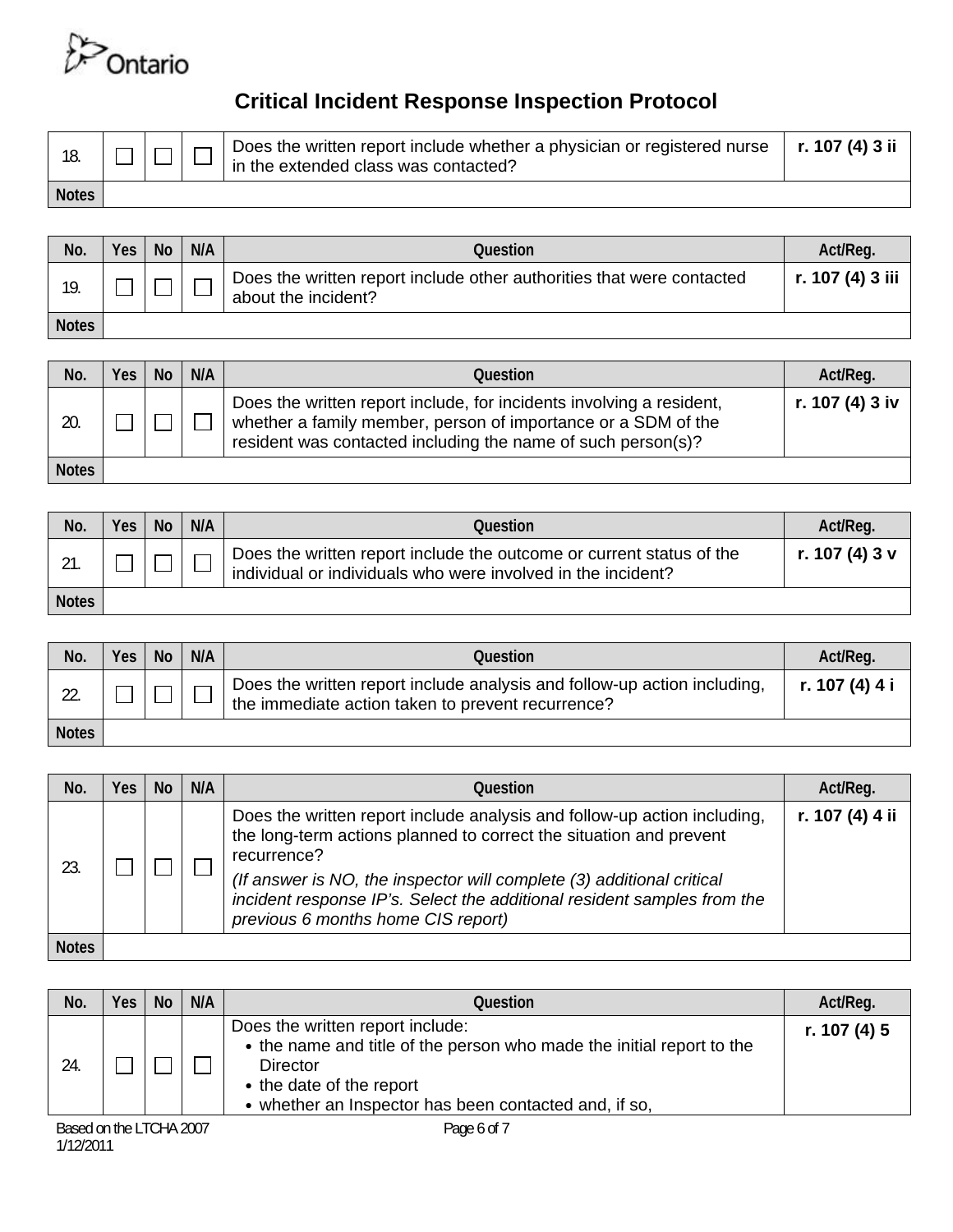

| 18.          |  | Does the written report include whether a physician or registered nurse $\int$ <b>r. 107 (4) 3 ii</b><br>in the extended class was contacted? |  |
|--------------|--|-----------------------------------------------------------------------------------------------------------------------------------------------|--|
| <b>Notes</b> |  |                                                                                                                                               |  |

| No.          | Yes | <b>No</b> | N/A | Question                                                                                     | Act/Req.         |
|--------------|-----|-----------|-----|----------------------------------------------------------------------------------------------|------------------|
| 19.          |     |           |     | Does the written report include other authorities that were contacted<br>about the incident? | r. 107 (4) 3 iii |
| <b>Notes</b> |     |           |     |                                                                                              |                  |

| No.          | Yes | <b>No</b> | N/A | Question                                                                                                                                                                                              | Act/Req.        |
|--------------|-----|-----------|-----|-------------------------------------------------------------------------------------------------------------------------------------------------------------------------------------------------------|-----------------|
| 20.          |     |           |     | Does the written report include, for incidents involving a resident,<br>whether a family member, person of importance or a SDM of the<br>resident was contacted including the name of such person(s)? | r. 107 (4) 3 iv |
| <b>Notes</b> |     |           |     |                                                                                                                                                                                                       |                 |

| No.          | Yes | <b>No</b> | N/A | Question                                                                                                                             | Act/Reg.       |
|--------------|-----|-----------|-----|--------------------------------------------------------------------------------------------------------------------------------------|----------------|
|              |     |           |     | Does the written report include the outcome or current status of the<br>individual or individuals who were involved in the incident? | r. 107 (4) 3 v |
| <b>Notes</b> |     |           |     |                                                                                                                                      |                |

| No.          | <b>Yes</b> | <b>No</b> | N/A | Question                                                                                                                      | Act/Reg.       |
|--------------|------------|-----------|-----|-------------------------------------------------------------------------------------------------------------------------------|----------------|
|              |            |           |     | Does the written report include analysis and follow-up action including.<br>the immediate action taken to prevent recurrence? | r. 107 (4) 4 i |
| <b>Notes</b> |            |           |     |                                                                                                                               |                |

| No.          | Yes | Nο | N/A | Ouestion                                                                                                                                                                                                                                                                                                                                                | Act/Reg.        |
|--------------|-----|----|-----|---------------------------------------------------------------------------------------------------------------------------------------------------------------------------------------------------------------------------------------------------------------------------------------------------------------------------------------------------------|-----------------|
| 23.          |     |    |     | Does the written report include analysis and follow-up action including,<br>the long-term actions planned to correct the situation and prevent<br>recurrence?<br>(If answer is NO, the inspector will complete (3) additional critical<br>incident response IP's. Select the additional resident samples from the<br>previous 6 months home CIS report) | r. 107 (4) 4 ii |
| <b>Notes</b> |     |    |     |                                                                                                                                                                                                                                                                                                                                                         |                 |

| No.                                                                                                                                                                           | Yes | <b>No</b> | N/A | Question                                                                                                                                                                                                   | Act/Reg.     |
|-------------------------------------------------------------------------------------------------------------------------------------------------------------------------------|-----|-----------|-----|------------------------------------------------------------------------------------------------------------------------------------------------------------------------------------------------------------|--------------|
| 24.                                                                                                                                                                           |     |           |     | Does the written report include:<br>• the name and title of the person who made the initial report to the<br>Director<br>• the date of the report<br>• whether an Inspector has been contacted and, if so, | r. 107 (4) 5 |
| $D_{\text{max}}$ $\downarrow$ $\downarrow$ $\downarrow$ $\downarrow$ $\uparrow$ $\cap$ $\downarrow$ $\uparrow$ $\cap$ $\downarrow$ $\uparrow$ $\cap$ $\cap$ $\cap$ $\uparrow$ |     |           |     | $P_1, \ldots, P_n$                                                                                                                                                                                         |              |